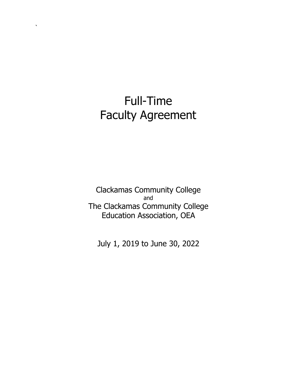# Full-Time Faculty Agreement

 $\ddot{ }$ 

Clackamas Community College and The Clackamas Community College Education Association, OEA

July 1, 2019 to June 30, 2022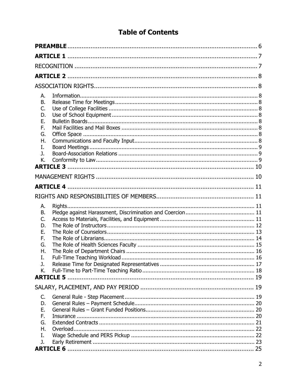# **Table of Contents**

| А. |  |
|----|--|
| В. |  |
| C. |  |
| D. |  |
| Е. |  |
| F. |  |
| G. |  |
| Η. |  |
| Ι. |  |
| J. |  |
| K. |  |
|    |  |
|    |  |
|    |  |
|    |  |
| А. |  |
| В. |  |
| C. |  |
| D. |  |
| Е. |  |
| F. |  |
| G. |  |
| Η. |  |
| I. |  |
| J. |  |
| K. |  |
|    |  |
|    |  |
|    |  |
| C. |  |
| D. |  |
| Ε. |  |
| F. |  |
| G. |  |
| Η. |  |
| Ι. |  |
| J. |  |
|    |  |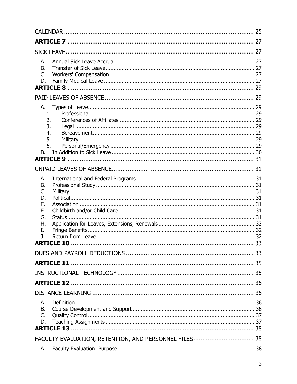| А.<br>В.<br>C.<br>D.                                     |                                                       |  |
|----------------------------------------------------------|-------------------------------------------------------|--|
|                                                          |                                                       |  |
| А.<br>1.<br>2.<br>3.<br>4.<br>5.<br>6.<br>В.             |                                                       |  |
|                                                          |                                                       |  |
| А.<br>В.<br>C.<br>D.<br>Е.<br>F.<br>G.<br>Η.<br>I.<br>J. | <b>ARTICLE 10</b>                                     |  |
|                                                          |                                                       |  |
|                                                          |                                                       |  |
|                                                          |                                                       |  |
|                                                          |                                                       |  |
|                                                          |                                                       |  |
| А.<br>В.<br>C.<br>D.                                     |                                                       |  |
|                                                          | FACULTY EVALUATION, RETENTION, AND PERSONNEL FILES 38 |  |
| А.                                                       |                                                       |  |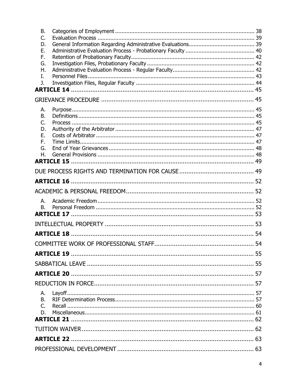| <b>B.</b><br>C. |  |    |  |  |
|-----------------|--|----|--|--|
| D.              |  |    |  |  |
| Ε.              |  |    |  |  |
| F.              |  |    |  |  |
| G.              |  |    |  |  |
| Η.              |  |    |  |  |
| I.              |  |    |  |  |
| J.              |  |    |  |  |
|                 |  |    |  |  |
|                 |  |    |  |  |
| А.              |  |    |  |  |
| В.              |  |    |  |  |
| C.              |  |    |  |  |
| D.              |  |    |  |  |
| Е.<br>F.        |  |    |  |  |
| G.              |  |    |  |  |
| Η.              |  |    |  |  |
|                 |  |    |  |  |
|                 |  |    |  |  |
|                 |  |    |  |  |
|                 |  |    |  |  |
|                 |  |    |  |  |
| А.              |  |    |  |  |
| <b>B.</b>       |  |    |  |  |
|                 |  |    |  |  |
|                 |  |    |  |  |
|                 |  |    |  |  |
|                 |  | 54 |  |  |
|                 |  |    |  |  |
|                 |  |    |  |  |
|                 |  |    |  |  |
|                 |  |    |  |  |
| А.              |  |    |  |  |
| В.              |  |    |  |  |
| C.              |  |    |  |  |
| D.              |  |    |  |  |
|                 |  |    |  |  |
|                 |  |    |  |  |
|                 |  |    |  |  |
|                 |  |    |  |  |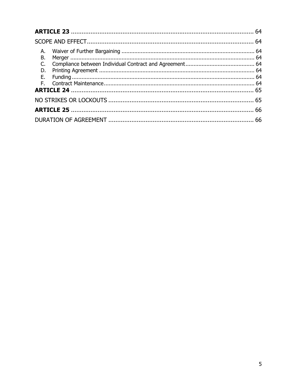| В. |  |  |
|----|--|--|
|    |  |  |
|    |  |  |
|    |  |  |
|    |  |  |
|    |  |  |
|    |  |  |
|    |  |  |
|    |  |  |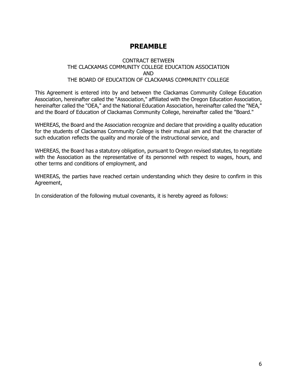# **PREAMBLE**

#### CONTRACT BETWEEN THE CLACKAMAS COMMUNITY COLLEGE EDUCATION ASSOCIATION AND THE BOARD OF EDUCATION OF CLACKAMAS COMMUNITY COLLEGE

This Agreement is entered into by and between the Clackamas Community College Education Association, hereinafter called the "Association," affiliated with the Oregon Education Association, hereinafter called the "OEA," and the National Education Association, hereinafter called the "NEA," and the Board of Education of Clackamas Community College, hereinafter called the "Board."

WHEREAS, the Board and the Association recognize and declare that providing a quality education for the students of Clackamas Community College is their mutual aim and that the character of such education reflects the quality and morale of the instructional service, and

WHEREAS, the Board has a statutory obligation, pursuant to Oregon revised statutes, to negotiate with the Association as the representative of its personnel with respect to wages, hours, and other terms and conditions of employment, and

WHEREAS, the parties have reached certain understanding which they desire to confirm in this Agreement,

In consideration of the following mutual covenants, it is hereby agreed as follows: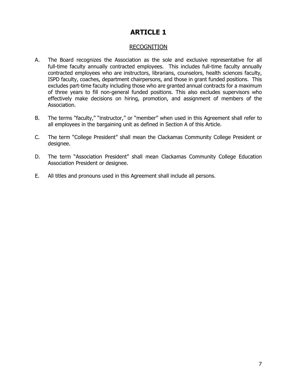### RECOGNITION

- A. The Board recognizes the Association as the sole and exclusive representative for all full-time faculty annually contracted employees. This includes full-time faculty annually contracted employees who are instructors, librarians, counselors, health sciences faculty, ISPD faculty, coaches, department chairpersons, and those in grant funded positions. This excludes part-time faculty including those who are granted annual contracts for a maximum of three years to fill non-general funded positions. This also excludes supervisors who effectively make decisions on hiring, promotion, and assignment of members of the Association.
- B. The terms "faculty," "instructor," or "member" when used in this Agreement shall refer to all employees in the bargaining unit as defined in Section A of this Article.
- C. The term "College President" shall mean the Clackamas Community College President or designee.
- D. The term "Association President" shall mean Clackamas Community College Education Association President or designee.
- E. All titles and pronouns used in this Agreement shall include all persons.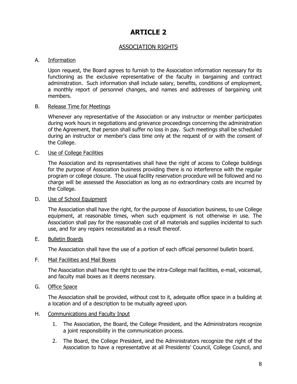# ASSOCIATION RIGHTS

#### A. Information

 Upon request, the Board agrees to furnish to the Association information necessary for its functioning as the exclusive representative of the faculty in bargaining and contract administration. Such information shall include salary, benefits, conditions of employment, a monthly report of personnel changes, and names and addresses of bargaining unit members.

#### B. Release Time for Meetings

 Whenever any representative of the Association or any instructor or member participates during work hours in negotiations and grievance proceedings concerning the administration of the Agreement, that person shall suffer no loss in pay. Such meetings shall be scheduled during an instructor or member's class time only at the request of or with the consent of the College.

#### C. Use of College Facilities

 The Association and its representatives shall have the right of access to College buildings for the purpose of Association business providing there is no interference with the regular program or college closure. The usual facility reservation procedure will be followed and no charge will be assessed the Association as long as no extraordinary costs are incurred by the College.

#### D. Use of School Equipment

 The Association shall have the right, for the purpose of Association business, to use College equipment, at reasonable times, when such equipment is not otherwise in use. The Association shall pay for the reasonable cost of all materials and supplies incidental to such use, and for any repairs necessitated as a result thereof.

#### E. Bulletin Boards

The Association shall have the use of a portion of each official personnel bulletin board.

#### F. Mail Facilities and Mail Boxes

 The Association shall have the right to use the intra-College mail facilities, e-mail, voicemail, and faculty mail boxes as it deems necessary.

#### G. Office Space

 The Association shall be provided, without cost to it, adequate office space in a building at a location and of a description to be mutually agreed upon.

#### H. Communications and Faculty Input

- 1. The Association, the Board, the College President, and the Administrators recognize a joint responsibility in the communication process.
- 2. The Board, the College President, and the Administrators recognize the right of the Association to have a representative at all Presidents' Council, College Council, and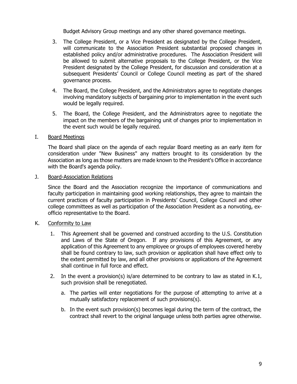Budget Advisory Group meetings and any other shared governance meetings.

- 3. The College President, or a Vice President as designated by the College President, will communicate to the Association President substantial proposed changes in established policy and/or administrative procedures. The Association President will be allowed to submit alternative proposals to the College President, or the Vice President designated by the College President, for discussion and consideration at a subsequent Presidents' Council or College Council meeting as part of the shared governance process.
- 4. The Board, the College President, and the Administrators agree to negotiate changes involving mandatory subjects of bargaining prior to implementation in the event such would be legally required.
- 5. The Board, the College President, and the Administrators agree to negotiate the impact on the members of the bargaining unit of changes prior to implementation in the event such would be legally required.
- I. Board Meetings

 The Board shall place on the agenda of each regular Board meeting as an early item for consideration under "New Business" any matters brought to its consideration by the Association as long as those matters are made known to the President's Office in accordance with the Board's agenda policy.

J. Board-Association Relations

 Since the Board and the Association recognize the importance of communications and faculty participation in maintaining good working relationships, they agree to maintain the current practices of faculty participation in Presidents' Council, College Council and other college committees as well as participation of the Association President as a nonvoting, exofficio representative to the Board.

- K. Conformity to Law
	- 1. This Agreement shall be governed and construed according to the U.S. Constitution and Laws of the State of Oregon. If any provisions of this Agreement, or any application of this Agreement to any employee or groups of employees covered hereby shall be found contrary to law, such provision or application shall have effect only to the extent permitted by law, and all other provisions or applications of the Agreement shall continue in full force and effect.
	- 2. In the event a provision(s) is/are determined to be contrary to law as stated in K.1, such provision shall be renegotiated.
		- a. The parties will enter negotiations for the purpose of attempting to arrive at a mutually satisfactory replacement of such provisions(s).
		- b. In the event such provision(s) becomes legal during the term of the contract, the contract shall revert to the original language unless both parties agree otherwise.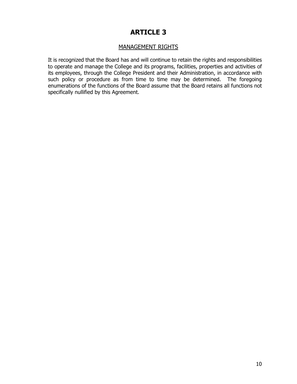## MANAGEMENT RIGHTS

 It is recognized that the Board has and will continue to retain the rights and responsibilities to operate and manage the College and its programs, facilities, properties and activities of its employees, through the College President and their Administration, in accordance with such policy or procedure as from time to time may be determined. The foregoing enumerations of the functions of the Board assume that the Board retains all functions not specifically nullified by this Agreement.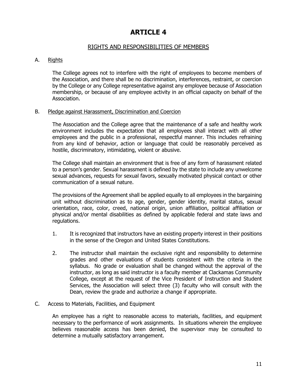### RIGHTS AND RESPONSIBILITIES OF MEMBERS

#### A. Rights

The College agrees not to interfere with the right of employees to become members of the Association, and there shall be no discrimination, interferences, restraint, or coercion by the College or any College representative against any employee because of Association membership, or because of any employee activity in an official capacity on behalf of the Association.

#### B. Pledge against Harassment, Discrimination and Coercion

The Association and the College agree that the maintenance of a safe and healthy work environment includes the expectation that all employees shall interact with all other employees and the public in a professional, respectful manner. This includes refraining from any kind of behavior, action or language that could be reasonably perceived as hostile, discriminatory, intimidating, violent or abusive.

The College shall maintain an environment that is free of any form of harassment related to a person's gender. Sexual harassment is defined by the state to include any unwelcome sexual advances, requests for sexual favors, sexually motivated physical contact or other communication of a sexual nature.

The provisions of the Agreement shall be applied equally to all employees in the bargaining unit without discrimination as to age, gender, gender identity, marital status, sexual orientation, race, color, creed, national origin, union affiliation, political affiliation or physical and/or mental disabilities as defined by applicable federal and state laws and regulations.

- 1. It is recognized that instructors have an existing property interest in their positions in the sense of the Oregon and United States Constitutions.
- 2. The instructor shall maintain the exclusive right and responsibility to determine grades and other evaluations of students consistent with the criteria in the syllabus. No grade or evaluation shall be changed without the approval of the instructor, as long as said instructor is a faculty member at Clackamas Community College, except at the request of the Vice President of Instruction and Student Services, the Association will select three (3) faculty who will consult with the Dean, review the grade and authorize a change if appropriate.
- C. Access to Materials, Facilities, and Equipment

An employee has a right to reasonable access to materials, facilities, and equipment necessary to the performance of work assignments. In situations wherein the employee believes reasonable access has been denied, the supervisor may be consulted to determine a mutually satisfactory arrangement.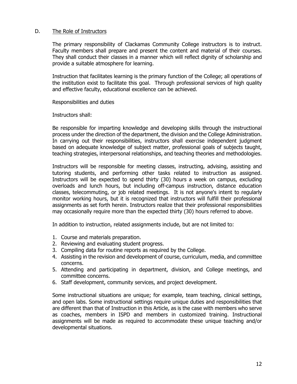#### D. The Role of Instructors

The primary responsibility of Clackamas Community College instructors is to instruct. Faculty members shall prepare and present the content and material of their courses. They shall conduct their classes in a manner which will reflect dignity of scholarship and provide a suitable atmosphere for learning.

Instruction that facilitates learning is the primary function of the College; all operations of the institution exist to facilitate this goal. Through professional services of high quality and effective faculty, educational excellence can be achieved.

Responsibilities and duties

Instructors shall:

Be responsible for imparting knowledge and developing skills through the instructional process under the direction of the department, the division and the College Administration. In carrying out their responsibilities, instructors shall exercise independent judgment based on adequate knowledge of subject matter, professional goals of subjects taught, teaching strategies, interpersonal relationships, and teaching theories and methodologies.

Instructors will be responsible for meeting classes, instructing, advising, assisting and tutoring students, and performing other tasks related to instruction as assigned. Instructors will be expected to spend thirty (30) hours a week on campus, excluding overloads and lunch hours, but including off-campus instruction, distance education classes, telecommuting, or job related meetings. It is not anyone's intent to regularly monitor working hours, but it is recognized that instructors will fulfill their professional assignments as set forth herein. Instructors realize that their professional responsibilities may occasionally require more than the expected thirty (30) hours referred to above.

In addition to instruction, related assignments include, but are not limited to:

- 1. Course and materials preparation.
- 2. Reviewing and evaluating student progress.
- 3. Compiling data for routine reports as required by the College.
- 4. Assisting in the revision and development of course, curriculum, media, and committee concerns.
- 5. Attending and participating in department, division, and College meetings, and committee concerns.
- 6. Staff development, community services, and project development.

Some instructional situations are unique; for example, team teaching, clinical settings, and open labs. Some instructional settings require unique duties and responsibilities that are different than that of Instruction in this Article, as is the case with members who serve as coaches, members in ISPD and members in customized training. Instructional assignments will be made as required to accommodate these unique teaching and/or developmental situations.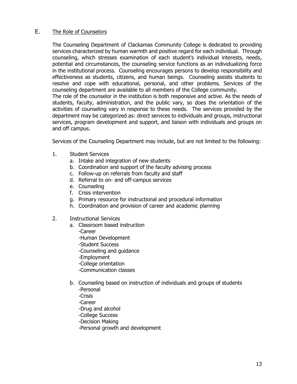### E. The Role of Counselors

 The Counseling Department of Clackamas Community College is dedicated to providing services characterized by human warmth and positive regard for each individual. Through counseling, which stresses examination of each student's individual interests, needs, potential and circumstances, the counseling service functions as an individualizing force in the institutional process. Counseling encourages persons to develop responsibility and effectiveness as students, citizens, and human beings. Counseling assists students to resolve and cope with educational, personal, and other problems. Services of the counseling department are available to all members of the College community. The role of the counselor in the institution is both responsive and active. As the needs of students, faculty, administration, and the public vary, so does the orientation of the

activities of counseling vary in response to these needs. The services provided by the department may be categorized as: direct services to individuals and groups, instructional services, program development and support, and liaison with individuals and groups on and off campus.

Services of the Counseling Department may include, but are not limited to the following:

- 1. Student Services
	- a. Intake and integration of new students
	- b. Coordination and support of the faculty advising process
	- c. Follow-up on referrals from faculty and staff
	- d. Referral to on- and off-campus services
	- e. Counseling
	- f. Crisis intervention
	- g. Primary resource for instructional and procedural information
	- h. Coordination and provision of career and academic planning
- 2. Instructional Services
	- a. Classroom based instruction
		- -Career
		- -Human Development
		- -Student Success
		- -Counseling and guidance
		- -Employment
		- -College orientation
		- -Communication classes
	- b. Counseling based on instruction of individuals and groups of students -Personal
		- -Crisis
		- -Career
		- -Drug and alcohol
		- -College Success
		- -Decision Making
		- -Personal growth and development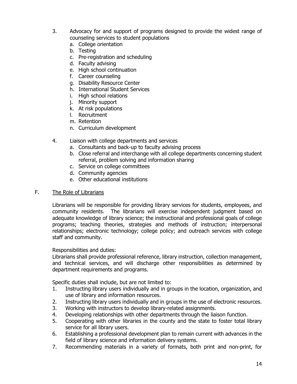- 3. Advocacy for and support of programs designed to provide the widest range of counseling services to student populations
	- a. College orientation
	- b. Testing
	- c. Pre-registration and scheduling
	- d. Faculty advising
	- e. High school continuation
	- f. Career counseling
	- g. Disability Resource Center
	- h. International Student Services
	- i. High school relations
	- j. Minority support
	- k. At risk populations
	- l. Recruitment
	- m. Retention
	- n. Curriculum development
- 4. Liaison with college departments and services
	- a. Consultants and back-up to faculty advising process
	- b. Close referral and interchange with all college departments concerning student referral, problem solving and information sharing
	- c. Service on college committees
	- d. Community agencies
	- e. Other educational institutions

#### F. The Role of Librarians

 Librarians will be responsible for providing library services for students, employees, and community residents. The librarians will exercise independent judgment based on adequate knowledge of library science; the instructional and professional goals of college programs; teaching theories, strategies and methods of instruction; interpersonal relationships; electronic technology; college policy; and outreach services with college staff and community.

#### Responsibilities and duties:

 Librarians shall provide professional reference, library instruction, collection management, and technical services, and will discharge other responsibilities as determined by department requirements and programs.

Specific duties shall include, but are not limited to:

- 1. Instructing library users individually and in groups in the location, organization, and use of library and information resources.
- 2. Instructing library users individually and in groups in the use of electronic resources.
- 3. Working with instructors to develop library-related assignments.
- 4. Developing relationships with other departments through the liaison function.
- 5. Cooperating with other libraries in the county and the state to foster total library service for all library users.
- 6. Establishing a professional development plan to remain current with advances in the field of library science and information delivery systems.
- 7. Recommending materials in a variety of formats, both print and non-print, for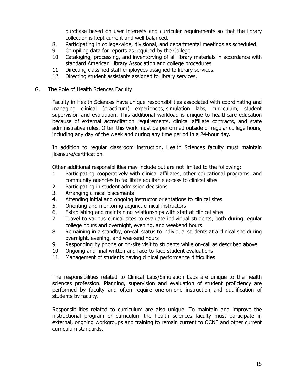purchase based on user interests and curricular requirements so that the library collection is kept current and well balanced.

- 8. Participating in college-wide, divisional, and departmental meetings as scheduled.
- 9. Compiling data for reports as required by the College.
- 10. Cataloging, processing, and inventorying of all library materials in accordance with standard American Library Association and college procedures.
- 11. Directing classified staff employees assigned to library services.
- 12. Directing student assistants assigned to library services.

#### G. The Role of Health Sciences Faculty

 Faculty in Health Sciences have unique responsibilities associated with coordinating and managing clinical (practicum) experiences, simulation labs, curriculum, student supervision and evaluation. This additional workload is unique to healthcare education because of external accreditation requirements, clinical affiliate contracts, and state administrative rules. Often this work must be performed outside of regular college hours, including any day of the week and during any time period in a 24-hour day.

 In addition to regular classroom instruction, Health Sciences faculty must maintain licensure/certification.

Other additional responsibilities may include but are not limited to the following:

- 1. Participating cooperatively with clinical affiliates, other educational programs, and community agencies to facilitate equitable access to clinical sites
- 2. Participating in student admission decisions
- 3. Arranging clinical placements
- 4. Attending initial and ongoing instructor orientations to clinical sites
- 5. Orienting and mentoring adjunct clinical instructors
- 6. Establishing and maintaining relationships with staff at clinical sites
- 7. Travel to various clinical sites to evaluate individual students, both during regular college hours and overnight, evening, and weekend hours
- 8. Remaining in a standby, on-call status to individual students at a clinical site during overnight, evening, and weekend hours
- 9. Responding by phone or on-site visit to students while on-call as described above
- 10. Ongoing and final written and face-to-face student evaluations
- 11. Management of students having clinical performance difficulties

 The responsibilities related to Clinical Labs/Simulation Labs are unique to the health sciences profession. Planning, supervision and evaluation of student proficiency are performed by faculty and often require one-on-one instruction and qualification of students by faculty.

 Responsibilities related to curriculum are also unique. To maintain and improve the instructional program or curriculum the health sciences faculty must participate in external, ongoing workgroups and training to remain current to OCNE and other current curriculum standards.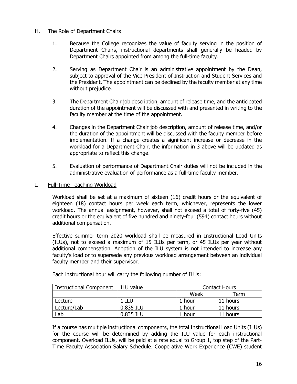#### H. The Role of Department Chairs

- 1. Because the College recognizes the value of faculty serving in the position of Department Chairs, instructional departments shall generally be headed by Department Chairs appointed from among the full-time faculty.
- 2. Serving as Department Chair is an administrative appointment by the Dean, subject to approval of the Vice President of Instruction and Student Services and the President. The appointment can be declined by the faculty member at any time without prejudice.
- 3. The Department Chair job description, amount of release time, and the anticipated duration of the appointment will be discussed with and presented in writing to the faculty member at the time of the appointment.
- 4. Changes in the Department Chair job description, amount of release time, and/or the duration of the appointment will be discussed with the faculty member before implementation. If a change creates a significant increase or decrease in the workload for a Department Chair, the information in 3 above will be updated as appropriate to reflect this change.
- 5. Evaluation of performance of Department Chair duties will not be included in the administrative evaluation of performance as a full-time faculty member.
- I. Full-Time Teaching Workload

 Workload shall be set at a maximum of sixteen (16) credit hours or the equivalent of eighteen (18) contact hours per week each term, whichever, represents the lower workload. The annual assignment, however, shall not exceed a total of forty-five (45) credit hours or the equivalent of five hundred and ninety-four (594) contact hours without additional compensation.

 Effective summer term 2020 workload shall be measured in Instructional Load Units (ILUs), not to exceed a maximum of 15 ILUs per term, or 45 ILUs per year without additional compensation. Adoption of the ILU system is not intended to increase any faculty's load or to supersede any previous workload arrangement between an individual faculty member and their supervisor.

| <b>Instructional Component</b> | ILU value | <b>Contact Hours</b> |          |  |
|--------------------------------|-----------|----------------------|----------|--|
|                                |           | Week                 | Term     |  |
| Lecture                        | l ILU     | 1 hour               | 11 hours |  |
| Lecture/Lab                    | 0.835 ILU | 1 hour               | 11 hours |  |
| _ab                            | 0.835 ILU | 1 hour               | 11 hours |  |

Each instructional hour will carry the following number of ILUs:

 If a course has multiple instructional components, the total Instructional Load Units (ILUs) for the course will be determined by adding the ILU value for each instructional component. Overload ILUs, will be paid at a rate equal to Group 1, top step of the Part-Time Faculty Association Salary Schedule. Cooperative Work Experience (CWE) student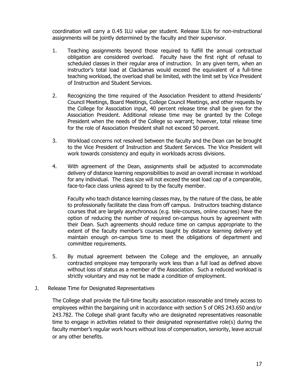coordination will carry a 0.45 ILU value per student. Release ILUs for non-instructional assignments will be jointly determined by the faculty and their supervisor.

- 1. Teaching assignments beyond those required to fulfill the annual contractual obligation are considered overload. Faculty have the first right of refusal to scheduled classes in their regular area of instruction. In any given term, when an instructor's total load at Clackamas would exceed the equivalent of a full-time teaching workload, the overload shall be limited, with the limit set by Vice President of Instruction and Student Services.
- 2. Recognizing the time required of the Association President to attend Presidents' Council Meetings, Board Meetings, College Council Meetings, and other requests by the College for Association input, 40 percent release time shall be given for the Association President. Additional release time may be granted by the College President when the needs of the College so warrant; however, total release time for the role of Association President shall not exceed 50 percent.
- 3. Workload concerns not resolved between the faculty and the Dean can be brought to the Vice President of Instruction and Student Services. The Vice President will work towards consistency and equity in workloads across divisions.
- 4. With agreement of the Dean, assignments shall be adjusted to accommodate delivery of distance learning responsibilities to avoid an overall increase in workload for any individual. The class size will not exceed the seat load cap of a comparable, face-to-face class unless agreed to by the faculty member.

 Faculty who teach distance learning classes may, by the nature of the class, be able to professionally facilitate the class from off campus. Instructors teaching distance courses that are largely asynchronous (e.g. tele-courses, online courses) have the option of reducing the number of required on-campus hours by agreement with their Dean. Such agreements should reduce time on campus appropriate to the extent of the faculty member's courses taught by distance learning delivery yet maintain enough on-campus time to meet the obligations of department and committee requirements.

- 5. By mutual agreement between the College and the employee, an annually contracted employee may temporarily work less than a full load as defined above without loss of status as a member of the Association. Such a reduced workload is strictly voluntary and may not be made a condition of employment.
- J. Release Time for Designated Representatives

The College shall provide the full-time faculty association reasonable and timely access to employees within the bargaining unit in accordance with section 5 of ORS 243.650 and/or 243.782. The College shall grant faculty who are designated representatives reasonable time to engage in activities related to their designated representative role(s) during the faculty member's regular work hours without loss of compensation, seniority, leave accrual or any other benefits.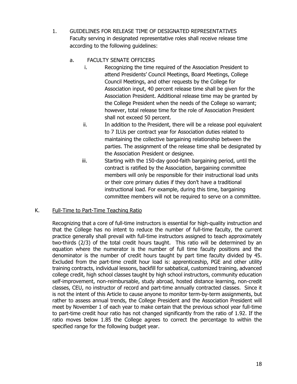1. GUIDELINES FOR RELEASE TIME OF DESIGNATED REPRESENTATIVES Faculty serving in designated representative roles shall receive release time according to the following guidelines:

### a. FACULTY SENATE OFFICERS

- i. Recognizing the time required of the Association President to attend Presidents' Council Meetings, Board Meetings, College Council Meetings, and other requests by the College for Association input, 40 percent release time shall be given for the Association President. Additional release time may be granted by the College President when the needs of the College so warrant; however, total release time for the role of Association President shall not exceed 50 percent.
- ii. In addition to the President, there will be a release pool equivalent to 7 ILUs per contract year for Association duties related to maintaining the collective bargaining relationship between the parties. The assignment of the release time shall be designated by the Association President or designee.
- iii. Starting with the 150-day good-faith bargaining period, until the contract is ratified by the Association, bargaining committee members will only be responsible for their instructional load units or their core primary duties if they don't have a traditional instructional load. For example, during this time, bargaining committee members will not be required to serve on a committee.

### K. Full-Time to Part-Time Teaching Ratio

Recognizing that a core of full-time instructors is essential for high-quality instruction and that the College has no intent to reduce the number of full-time faculty, the current practice generally shall prevail with full-time instructors assigned to teach approximately two-thirds (2/3) of the total credit hours taught. This ratio will be determined by an equation where the numerator is the number of full time faculty positions and the denominator is the number of credit hours taught by part time faculty divided by 45. Excluded from the part-time credit hour load is: apprenticeship, PGE and other utility training contracts, individual lessons, backfill for sabbatical, customized training, advanced college credit, high school classes taught by high school instructors, community education self-improvement, non-reimbursable, study abroad, hosted distance learning, non-credit classes, CEU, no instructor of record and part-time annually contracted classes. Since it is not the intent of this Article to cause anyone to monitor term-by-term assignments, but rather to assess annual trends, the College President and the Association President will meet by November 1 of each year to make certain that the previous school year full-time to part-time credit hour ratio has not changed significantly from the ratio of 1.92. If the ratio moves below 1.85 the College agrees to correct the percentage to within the specified range for the following budget year.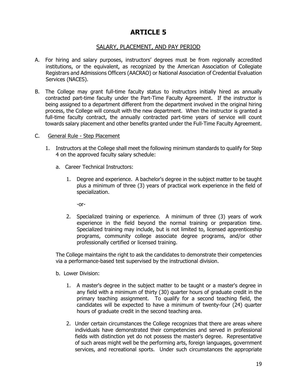### SALARY, PLACEMENT, AND PAY PERIOD

- A. For hiring and salary purposes, instructors' degrees must be from regionally accredited institutions, or the equivalent, as recognized by the American Association of Collegiate Registrars and Admissions Officers (AACRAO) or National Association of Credential Evaluation Services (NACES).
- B. The College may grant full-time faculty status to instructors initially hired as annually contracted part-time faculty under the Part-Time Faculty Agreement. If the instructor is being assigned to a department different from the department involved in the original hiring process, the College will consult with the new department. When the instructor is granted a full-time faculty contract, the annually contracted part-time years of service will count towards salary placement and other benefits granted under the Full-Time Faculty Agreement.
- C. General Rule Step Placement
	- 1. Instructors at the College shall meet the following minimum standards to qualify for Step 4 on the approved faculty salary schedule:
		- a. Career Technical Instructors:
			- 1. Degree and experience. A bachelor's degree in the subject matter to be taught plus a minimum of three (3) years of practical work experience in the field of specialization.

-or-

2. Specialized training or experience. A minimum of three (3) years of work experience in the field beyond the normal training or preparation time. Specialized training may include, but is not limited to, licensed apprenticeship programs, community college associate degree programs, and/or other professionally certified or licensed training.

The College maintains the right to ask the candidates to demonstrate their competencies via a performance-based test supervised by the instructional division.

- b. Lower Division:
	- 1. A master's degree in the subject matter to be taught or a master's degree in any field with a minimum of thirty (30) quarter hours of graduate credit in the primary teaching assignment. To qualify for a second teaching field, the candidates will be expected to have a minimum of twenty-four (24) quarter hours of graduate credit in the second teaching area.
	- 2. Under certain circumstances the College recognizes that there are areas where individuals have demonstrated their competencies and served in professional fields with distinction yet do not possess the master's degree. Representative of such areas might well be the performing arts, foreign languages, government services, and recreational sports. Under such circumstances the appropriate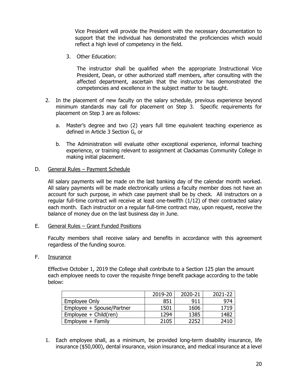Vice President will provide the President with the necessary documentation to support that the individual has demonstrated the proficiencies which would reflect a high level of competency in the field.

3. Other Education:

The instructor shall be qualified when the appropriate Instructional Vice President, Dean, or other authorized staff members, after consulting with the affected department, ascertain that the instructor has demonstrated the competencies and excellence in the subject matter to be taught.

- 2. In the placement of new faculty on the salary schedule, previous experience beyond minimum standards may call for placement on Step 3. Specific requirements for placement on Step 3 are as follows:
	- a. Master's degree and two (2) years full time equivalent teaching experience as defined in Article 3 Section G, or
	- b. The Administration will evaluate other exceptional experience, informal teaching experience, or training relevant to assignment at Clackamas Community College in making initial placement.

#### D. General Rules – Payment Schedule

All salary payments will be made on the last banking day of the calendar month worked. All salary payments will be made electronically unless a faculty member does not have an account for such purpose, in which case payment shall be by check. All instructors on a regular full-time contract will receive at least one-twelfth (1/12) of their contracted salary each month. Each instructor on a regular full-time contract may, upon request, receive the balance of money due on the last business day in June.

E. General Rules – Grant Funded Positions

Faculty members shall receive salary and benefits in accordance with this agreement regardless of the funding source.

### F. Insurance

 Effective October 1, 2019 the College shall contribute to a Section 125 plan the amount each employee needs to cover the requisite fringe benefit package according to the table below:

|                           | 2019-20 | 2020-21 | 2021-22 |
|---------------------------|---------|---------|---------|
| Employee Only             | 851     | 911     | 974     |
| Employee + Spouse/Partner | 1501    | 1606    | 1719    |
| $Employee + Child (ren)$  | 1294    | 1385    | 1482    |
| $Emplovee + Family$       | 2105    | 2252    | 2410    |

1. Each employee shall, as a minimum, be provided long-term disability insurance, life insurance (\$50,000), dental insurance, vision insurance, and medical insurance at a level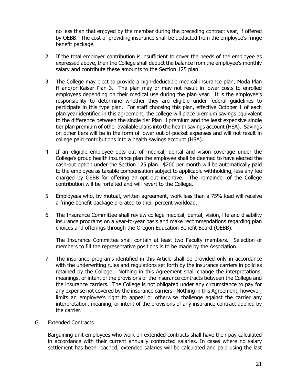no less than that enjoyed by the member during the preceding contract year, if offered by OEBB. The cost of providing insurance shall be deducted from the employee's fringe benefit package.

- 2. If the total employer contribution is insufficient to cover the needs of the employee as expressed above, then the College shall deduct the balance from the employee's monthly salary and contribute these amounts to the Section 125 plan.
- 3. The College may elect to provide a high-deductible medical insurance plan, Moda Plan H and/or Kaiser Plan 3. The plan may or may not result in lower costs to enrolled employees depending on their medical use during the plan year. It is the employee's responsibility to determine whether they are eligible under federal guidelines to participate in this type plan. For staff choosing this plan, effective October 1 of each plan year identified in this agreement, the college will place premium savings equivalent to the difference between the single tier Plan H premium and the least expensive single tier plan premium of other available plans into the health savings account (HSA). Savings on other tiers will be in the form of lower out-of-pocket expenses and will not result in college paid contributions into a health savings account (HSA).
- 4. If an eligible employee opts out of medical, dental and vision coverage under the College's group health insurance plan the employee shall be deemed to have elected the cash-out option under the Section 125 plan. \$200 per month will be automatically paid to the employee as taxable compensation subject to applicable withholding, less any fee charged by OEBB for offering an opt out incentive. The remainder of the College contribution will be forfeited and will revert to the College.
- 5. Employees who, by mutual, written agreement, work less than a 75% load will receive a fringe benefit package prorated to their percent workload.
- 6. The Insurance Committee shall review college medical, dental, vision, life and disability insurance programs on a year-to-year basis and make recommendations regarding plan choices and offerings through the Oregon Education Benefit Board (OEBB).

 The Insurance Committee shall contain at least two Faculty members. Selection of members to fill the representative positions is to be made by the Association.

7. The insurance programs identified in this Article shall be provided only in accordance with the underwriting rules and regulations set forth by the insurance carriers in policies retained by the College. Nothing in this Agreement shall change the interpretations, meanings, or intent of the provisions of the insurance contracts between the College and the insurance carriers. The College is not obligated under any circumstance to pay for any expense not covered by the insurance carriers. Nothing in this Agreement, however, limits an employee's right to appeal or otherwise challenge against the carrier any interpretation, meaning, or intent of the provisions of any insurance contract applied by the carrier.

#### G. Extended Contracts

Bargaining unit employees who work on extended contracts shall have their pay calculated in accordance with their current annually contracted salaries. In cases where no salary settlement has been reached, extended salaries will be calculated and paid using the last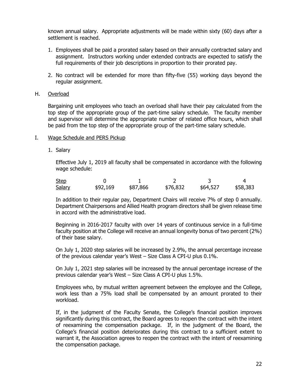known annual salary. Appropriate adjustments will be made within sixty (60) days after a settlement is reached.

- 1. Employees shall be paid a prorated salary based on their annually contracted salary and assignment. Instructors working under extended contracts are expected to satisfy the full requirements of their job descriptions in proportion to their prorated pay.
- 2. No contract will be extended for more than fifty-five (55) working days beyond the regular assignment.

#### H. Overload

Bargaining unit employees who teach an overload shall have their pay calculated from the top step of the appropriate group of the part-time salary schedule. The faculty member and supervisor will determine the appropriate number of related office hours, which shall be paid from the top step of the appropriate group of the part-time salary schedule.

#### I. Wage Schedule and PERS Pickup

1. Salary

Effective July 1, 2019 all faculty shall be compensated in accordance with the following wage schedule:

| <u>Step</u>   |          |          |          |          |          |
|---------------|----------|----------|----------|----------|----------|
| <u>Salary</u> | \$92,169 | \$87,866 | \$76,832 | \$64,527 | \$58,383 |

In addition to their regular pay, Department Chairs will receive 7% of step 0 annually. Department Chairpersons and Allied Health program directors shall be given release time in accord with the administrative load.

Beginning in 2016-2017 faculty with over 14 years of continuous service in a full-time faculty position at the College will receive an annual longevity bonus of two percent (2%) of their base salary.

On July 1, 2020 step salaries will be increased by 2.9%, the annual percentage increase of the previous calendar year's West – Size Class A CPI-U plus 0.1%.

On July 1, 2021 step salaries will be increased by the annual percentage increase of the previous calendar year's West – Size Class A CPI-U plus 1.5%.

Employees who, by mutual written agreement between the employee and the College, work less than a 75% load shall be compensated by an amount prorated to their workload.

If, in the judgment of the Faculty Senate, the College's financial position improves significantly during this contract, the Board agrees to reopen the contract with the intent of reexamining the compensation package. If, in the judgment of the Board, the College's financial position deteriorates during this contract to a sufficient extent to warrant it, the Association agrees to reopen the contract with the intent of reexamining the compensation package.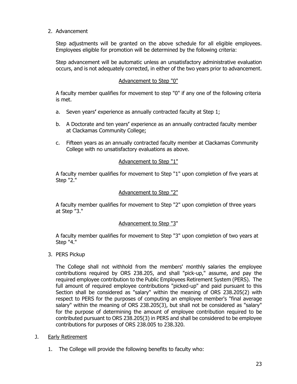2. Advancement

Step adjustments will be granted on the above schedule for all eligible employees. Employees eligible for promotion will be determined by the following criteria:

Step advancement will be automatic unless an unsatisfactory administrative evaluation occurs, and is not adequately corrected, in either of the two years prior to advancement.

### Advancement to Step "0"

A faculty member qualifies for movement to step "0" if any one of the following criteria is met.

- a. Seven years**'** experience as annually contracted faculty at Step 1;
- b. A Doctorate and ten years**'** experience as an annually contracted faculty member at Clackamas Community College;
- c. Fifteen years as an annually contracted faculty member at Clackamas Community College with no unsatisfactory evaluations as above.

### Advancement to Step "1"

A faculty member qualifies for movement to Step "1" upon completion of five years at Step "2."

#### Advancement to Step "2"

A faculty member qualifies for movement to Step "2" upon completion of three years at Step "3."

#### Advancement to Step "3"

A faculty member qualifies for movement to Step "3" upon completion of two years at Step "4."

3. PERS Pickup

The College shall not withhold from the members' monthly salaries the employee contributions required by ORS 238.205, and shall "pick-up," assume, and pay the required employee contribution to the Public Employees Retirement System (PERS). The full amount of required employee contributions "picked-up" and paid pursuant to this Section shall be considered as "salary" within the meaning of ORS 238.205(2) with respect to PERS for the purposes of computing an employee member's "final average salary" within the meaning of ORS 238.205(3), but shall not be considered as "salary" for the purpose of determining the amount of employee contribution required to be contributed pursuant to ORS 238.205(3) in PERS and shall be considered to be employee contributions for purposes of ORS 238.005 to 238.320.

- J. Early Retirement
	- 1. The College will provide the following benefits to faculty who: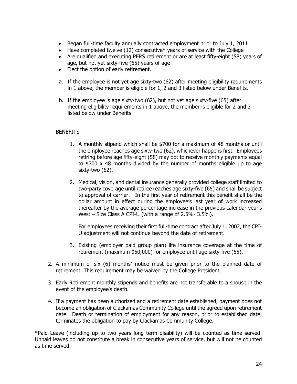- Began full-time faculty annually contracted employment prior to July 1, 2011
- $\bullet$  Have completed twelve (12) consecutive\* years of service with the College
- Are qualified and executing PERS retirement or are at least fifty-eight (58) years of age, but not yet sixty-five (65) years of age
- Elect the option of early retirement.
- a. If the employee is not yet age sixty-two (62) after meeting eligibility requirements in 1 above, the member is eligible for 1, 2 and 3 listed below under Benefits.
- b. If the employee is age sixty-two (62), but not yet age sixty-five (65) after meeting eligibility requirements in 1 above, the member is eligible for 2 and 3 listed below under Benefits.

#### **BENEFITS**

- 1. A monthly stipend which shall be \$700 for a maximum of 48 months or until the employee reaches age sixty-two (62), whichever happens first. Employees retiring before age fifty-eight (58) may opt to receive monthly payments equal to \$700 x 48 months divided by the number of months eligible up to age sixty-two (62).
- 2. Medical, vision, and dental insurance generally provided college staff limited to two-party coverage until retiree reaches age sixty-five (65) and shall be subject to approval of carrier. In the first year of retirement this benefit shall be the dollar amount in effect during the employee's last year of work increased thereafter by the average percentage increase in the previous calendar year's West – Size Class A CPI-U (with a range of 2.5%- 3.5%).

 For employees receiving their first full-time contract after July 1, 2002, the CPI-U adjustment will not continue beyond the date of retirement.

- 3. Existing (employer paid group plan) life insurance coverage at the time of retirement (maximum \$50,000) for employee until age sixty-five (65).
- 2. A minimum of six (6) months**'** notice must be given prior to the planned date of retirement. This requirement may be waived by the College President.
- 3. Early Retirement monthly stipends and benefits are not transferable to a spouse in the event of the employee's death.
- 4. If a payment has been authorized and a retirement date established, payment does not become an obligation of Clackamas Community College until the agreed upon retirement date. Death or termination of employment for any reason, prior to established date, terminates the obligation to pay by Clackamas Community College.

\*Paid Leave (including up to two years long term disability) will be counted as time served. Unpaid leaves do not constitute a break in consecutive years of service, but will not be counted as time served.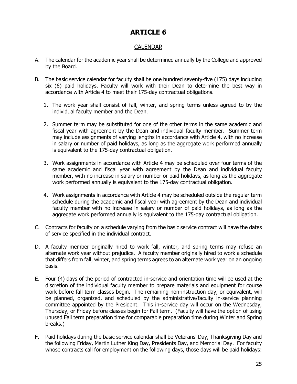# CALENDAR

- A. The calendar for the academic year shall be determined annually by the College and approved by the Board.
- B. The basic service calendar for faculty shall be one hundred seventy-five (175) days including six (6) paid holidays. Faculty will work with their Dean to determine the best way in accordance with Article 4 to meet their 175-day contractual obligations.
	- 1. The work year shall consist of fall, winter, and spring terms unless agreed to by the individual faculty member and the Dean.
	- 2. Summer term may be substituted for one of the other terms in the same academic and fiscal year with agreement by the Dean and individual faculty member. Summer term may include assignments of varying lengths in accordance with Article 4, with no increase in salary or number of paid holidays, as long as the aggregate work performed annually is equivalent to the 175-day contractual obligation.
	- 3. Work assignments in accordance with Article 4 may be scheduled over four terms of the same academic and fiscal year with agreement by the Dean and individual faculty member, with no increase in salary or number or paid holidays, as long as the aggregate work performed annually is equivalent to the 175-day contractual obligation.
	- 4. Work assignments in accordance with Article 4 may be scheduled outside the regular term schedule during the academic and fiscal year with agreement by the Dean and individual faculty member with no increase in salary or number of paid holidays, as long as the aggregate work performed annually is equivalent to the 175-day contractual obligation.
- C. Contracts for faculty on a schedule varying from the basic service contract will have the dates of service specified in the individual contract.
- D. A faculty member originally hired to work fall, winter, and spring terms may refuse an alternate work year without prejudice. A faculty member originally hired to work a schedule that differs from fall, winter, and spring terms agrees to an alternate work year on an ongoing basis.
- E. Four (4) days of the period of contracted in-service and orientation time will be used at the discretion of the individual faculty member to prepare materials and equipment for course work before fall term classes begin. The remaining non-instruction day, or equivalent, will be planned, organized, and scheduled by the administrative/faculty in-service planning committee appointed by the President. This in-service day will occur on the Wednesday, Thursday, or Friday before classes begin for Fall term. (Faculty will have the option of using unused Fall term preparation time for comparable preparation time during Winter and Spring breaks.)
- F. Paid holidays during the basic service calendar shall be Veterans' Day, Thanksgiving Day and the following Friday, Martin Luther King Day, Presidents Day, and Memorial Day. For faculty whose contracts call for employment on the following days, those days will be paid holidays: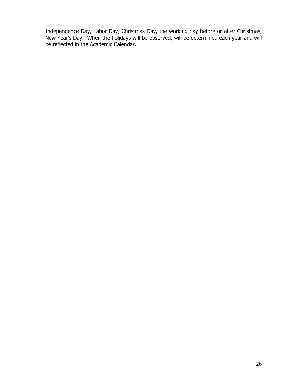Independence Day, Labor Day, Christmas Day, the working day before or after Christmas, New Year's Day. When the holidays will be observed, will be determined each year and will be reflected in the Academic Calendar.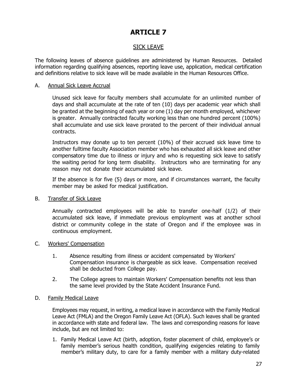# SICK LEAVE

The following leaves of absence guidelines are administered by Human Resources. Detailed information regarding qualifying absences, reporting leave use, application, medical certification and definitions relative to sick leave will be made available in the Human Resources Office.

#### A. Annual Sick Leave Accrual

Unused sick leave for faculty members shall accumulate for an unlimited number of days and shall accumulate at the rate of ten (10) days per academic year which shall be granted at the beginning of each year or one (1) day per month employed, whichever is greater. Annually contracted faculty working less than one hundred percent (100%) shall accumulate and use sick leave prorated to the percent of their individual annual contracts.

Instructors may donate up to ten percent (10%) of their accrued sick leave time to another fulltime faculty Association member who has exhausted all sick leave and other compensatory time due to illness or injury and who is requesting sick leave to satisfy the waiting period for long term disability. Instructors who are terminating for any reason may not donate their accumulated sick leave.

If the absence is for five (5) days or more, and if circumstances warrant, the faculty member may be asked for medical justification.

#### B. Transfer of Sick Leave

Annually contracted employees will be able to transfer one-half (1/2) of their accumulated sick leave, if immediate previous employment was at another school district or community college in the state of Oregon and if the employee was in continuous employment.

### C. Workers' Compensation

- 1. Absence resulting from illness or accident compensated by Workers' Compensation insurance is chargeable as sick leave. Compensation received shall be deducted from College pay.
- 2. The College agrees to maintain Workers' Compensation benefits not less than the same level provided by the State Accident Insurance Fund.

### D. Family Medical Leave

Employees may request, in writing, a medical leave in accordance with the Family Medical Leave Act (FMLA) and the Oregon Family Leave Act (OFLA). Such leaves shall be granted in accordance with state and federal law. The laws and corresponding reasons for leave include, but are not limited to:

1. Family Medical Leave Act (birth, adoption, foster placement of child, employee's or family member's serious health condition, qualifying exigencies relating to family member's military duty, to care for a family member with a military duty-related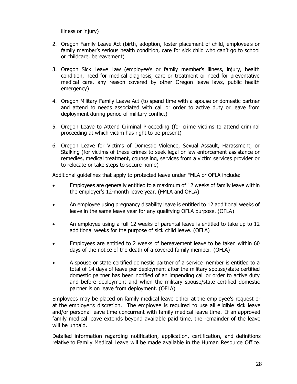illness or injury)

- 2. Oregon Family Leave Act (birth, adoption, foster placement of child, employee's or family member's serious health condition, care for sick child who can't go to school or childcare, bereavement)
- 3. Oregon Sick Leave Law (employee's or family member's illness, injury, health condition, need for medical diagnosis, care or treatment or need for preventative medical care, any reason covered by other Oregon leave laws, public health emergency)
- 4. Oregon Military Family Leave Act (to spend time with a spouse or domestic partner and attend to needs associated with call or order to active duty or leave from deployment during period of military conflict)
- 5. Oregon Leave to Attend Criminal Proceeding (for crime victims to attend criminal proceeding at which victim has right to be present)
- 6. Oregon Leave for Victims of Domestic Violence, Sexual Assault, Harassment, or Stalking (for victims of these crimes to seek legal or law enforcement assistance or remedies, medical treatment, counseling, services from a victim services provider or to relocate or take steps to secure home)

Additional guidelines that apply to protected leave under FMLA or OFLA include:

- Employees are generally entitled to a maximum of 12 weeks of family leave within the employer's 12-month leave year. (FMLA and OFLA)
- An employee using pregnancy disability leave is entitled to 12 additional weeks of leave in the same leave year for any qualifying OFLA purpose. (OFLA)
- An employee using a full 12 weeks of parental leave is entitled to take up to 12 additional weeks for the purpose of sick child leave. (OFLA)
- Employees are entitled to 2 weeks of bereavement leave to be taken within 60 days of the notice of the death of a covered family member. (OFLA)
- A spouse or state certified domestic partner of a service member is entitled to a total of 14 days of leave per deployment after the military spouse/state certified domestic partner has been notified of an impending call or order to active duty and before deployment and when the military spouse/state certified domestic partner is on leave from deployment. (OFLA)

Employees may be placed on family medical leave either at the employee's request or at the employer's discretion. The employee is required to use all eligible sick leave and/or personal leave time concurrent with family medical leave time.If an approved family medical leave extends beyond available paid time, the remainder of the leave will be unpaid.

Detailed information regarding notification, application, certification, and definitions relative to Family Medical Leave will be made available in the Human Resource Office.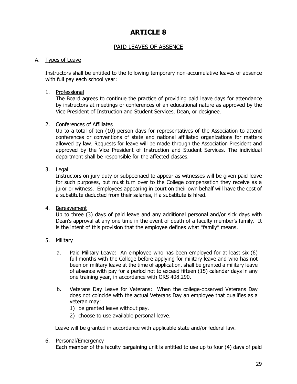# PAID LEAVES OF ABSENCE

### A. Types of Leave

Instructors shall be entitled to the following temporary non-accumulative leaves of absence with full pay each school year:

#### 1. Professional

The Board agrees to continue the practice of providing paid leave days for attendance by instructors at meetings or conferences of an educational nature as approved by the Vice President of Instruction and Student Services, Dean, or designee.

#### 2. Conferences of Affiliates

Up to a total of ten (10) person days for representatives of the Association to attend conferences or conventions of state and national affiliated organizations for matters allowed by law. Requests for leave will be made through the Association President and approved by the Vice President of Instruction and Student Services. The individual department shall be responsible for the affected classes.

### 3. Legal

Instructors on jury duty or subpoenaed to appear as witnesses will be given paid leave for such purposes, but must turn over to the College compensation they receive as a juror or witness. Employees appearing in court on their own behalf will have the cost of a substitute deducted from their salaries, if a substitute is hired.

#### 4. Bereavement

Up to three (3) days of paid leave and any additional personal and/or sick days with Dean's approval at any one time in the event of death of a faculty member's family. It is the intent of this provision that the employee defines what "family" means.

#### 5. Military

- a. Paid Military Leave: An employee who has been employed for at least six (6) full months with the College before applying for military leave and who has not been on military leave at the time of application, shall be granted a military leave of absence with pay for a period not to exceed fifteen (15) calendar days in any one training year, in accordance with ORS 408.290.
- b. Veterans Day Leave for Veterans: When the college-observed Veterans Day does not coincide with the actual Veterans Day an employee that qualifies as a veteran may:
	- 1) be granted leave without pay.
	- 2) choose to use available personal leave.

Leave will be granted in accordance with applicable state and/or federal law.

#### 6. Personal/Emergency

Each member of the faculty bargaining unit is entitled to use up to four (4) days of paid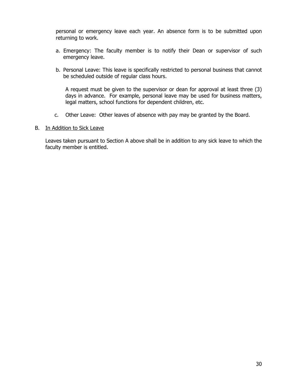personal or emergency leave each year. An absence form is to be submitted upon returning to work.

- a. Emergency: The faculty member is to notify their Dean or supervisor of such emergency leave.
- b. Personal Leave: This leave is specifically restricted to personal business that cannot be scheduled outside of regular class hours.

A request must be given to the supervisor or dean for approval at least three (3) days in advance. For example, personal leave may be used for business matters, legal matters, school functions for dependent children, etc.

c. Other Leave: Other leaves of absence with pay may be granted by the Board.

#### B. In Addition to Sick Leave

Leaves taken pursuant to Section A above shall be in addition to any sick leave to which the faculty member is entitled.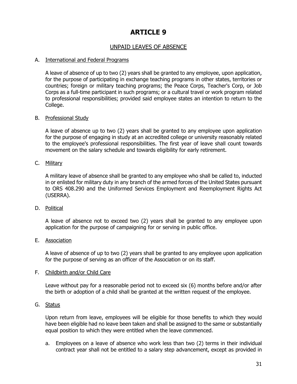# UNPAID LEAVES OF ABSENCE

#### A. International and Federal Programs

A leave of absence of up to two (2) years shall be granted to any employee, upon application, for the purpose of participating in exchange teaching programs in other states, territories or countries; foreign or military teaching programs; the Peace Corps, Teacher's Corp, or Job Corps as a full-time participant in such programs; or a cultural travel or work program related to professional responsibilities; provided said employee states an intention to return to the College.

#### B. Professional Study

A leave of absence up to two (2) years shall be granted to any employee upon application for the purpose of engaging in study at an accredited college or university reasonably related to the employee's professional responsibilities. The first year of leave shall count towards movement on the salary schedule and towards eligibility for early retirement.

#### C. Military

A military leave of absence shall be granted to any employee who shall be called to, inducted in or enlisted for military duty in any branch of the armed forces of the United States pursuant to ORS 408.290 and the Uniformed Services Employment and Reemployment Rights Act (USERRA).

#### D. Political

A leave of absence not to exceed two (2) years shall be granted to any employee upon application for the purpose of campaigning for or serving in public office.

#### E. Association

A leave of absence of up to two (2) years shall be granted to any employee upon application for the purpose of serving as an officer of the Association or on its staff.

#### F. Childbirth and/or Child Care

Leave without pay for a reasonable period not to exceed six (6) months before and/or after the birth or adoption of a child shall be granted at the written request of the employee.

#### G. Status

Upon return from leave, employees will be eligible for those benefits to which they would have been eligible had no leave been taken and shall be assigned to the same or substantially equal position to which they were entitled when the leave commenced.

a. Employees on a leave of absence who work less than two (2) terms in their individual contract year shall not be entitled to a salary step advancement, except as provided in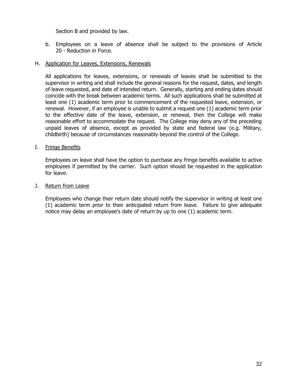Section B and provided by law.

b. Employees on a leave of absence shall be subject to the provisions of Article 20 - Reduction in Force.

#### H. Application for Leaves, Extensions, Renewals

All applications for leaves, extensions, or renewals of leaves shall be submitted to the supervisor in writing and shall include the general reasons for the request, dates, and length of leave requested, and date of intended return. Generally, starting and ending dates should coincide with the break between academic terms. All such applications shall be submitted at least one (1) academic term prior to commencement of the requested leave, extension, or renewal. However, if an employee is unable to submit a request one (1) academic term prior to the effective date of the leave, extension, or renewal, then the College will make reasonable effort to accommodate the request. The College may deny any of the preceding unpaid leaves of absence, except as provided by state and federal law (e.g. Military, childbirth) because of circumstances reasonably beyond the control of the College.

#### I. Fringe Benefits

Employees on leave shall have the option to purchase any fringe benefits available to active employees if permitted by the carrier. Such option should be requested in the application for leave.

#### J. Return from Leave

Employees who change their return date should notify the supervisor in writing at least one (1) academic term prior to their anticipated return from leave. Failure to give adequate notice may delay an employee's date of return by up to one (1) academic term.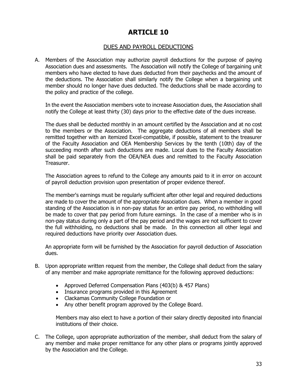### DUES AND PAYROLL DEDUCTIONS

A. Members of the Association may authorize payroll deductions for the purpose of paying Association dues and assessments. The Association will notify the College of bargaining unit members who have elected to have dues deducted from their paychecks and the amount of the deductions. The Association shall similarly notify the College when a bargaining unit member should no longer have dues deducted. The deductions shall be made according to the policy and practice of the college.

 In the event the Association members vote to increase Association dues, the Association shall notify the College at least thirty (30) days prior to the effective date of the dues increase.

The dues shall be deducted monthly in an amount certified by the Association and at no cost to the members or the Association. The aggregate deductions of all members shall be remitted together with an itemized Excel-compatible, if possible, statement to the treasurer of the Faculty Association and OEA Membership Services by the tenth (10th) day of the succeeding month after such deductions are made. Local dues to the Faculty Association shall be paid separately from the OEA/NEA dues and remitted to the Faculty Association Treasurer.

The Association agrees to refund to the College any amounts paid to it in error on account of payroll deduction provision upon presentation of proper evidence thereof.

The member's earnings must be regularly sufficient after other legal and required deductions are made to cover the amount of the appropriate Association dues. When a member in good standing of the Association is in non-pay status for an entire pay period, no withholding will be made to cover that pay period from future earnings. In the case of a member who is in non-pay status during only a part of the pay period and the wages are not sufficient to cover the full withholding, no deductions shall be made. In this connection all other legal and required deductions have priority over Association dues.

An appropriate form will be furnished by the Association for payroll deduction of Association dues.

- B. Upon appropriate written request from the member, the College shall deduct from the salary of any member and make appropriate remittance for the following approved deductions:
	- Approved Deferred Compensation Plans (403(b) & 457 Plans)
	- Insurance programs provided in this Agreement
	- Clackamas Community College Foundation or
	- Any other benefit program approved by the College Board.

Members may also elect to have a portion of their salary directly deposited into financial institutions of their choice.

C. The College, upon appropriate authorization of the member, shall deduct from the salary of any member and make proper remittance for any other plans or programs jointly approved by the Association and the College.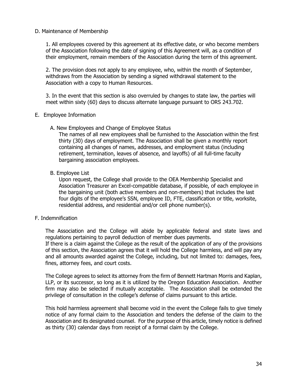#### D. Maintenance of Membership

 1. All employees covered by this agreement at its effective date, or who become members of the Association following the date of signing of this Agreement will, as a condition of their employment, remain members of the Association during the term of this agreement.

 2. The provision does not apply to any employee, who, within the month of September, withdraws from the Association by sending a signed withdrawal statement to the Association with a copy to Human Resources.

 3. In the event that this section is also overruled by changes to state law, the parties will meet within sixty (60) days to discuss alternate language pursuant to ORS 243.702.

#### E. Employee Information

A. New Employees and Change of Employee Status

The names of all new employees shall be furnished to the Association within the first thirty (30) days of employment. The Association shall be given a monthly report containing all changes of names, addresses, and employment status (including retirement, termination, leaves of absence, and layoffs) of all full-time faculty bargaining association employees.

#### B. Employee List

Upon request, the College shall provide to the OEA Membership Specialist and Association Treasurer an Excel-compatible database, if possible, of each employee in the bargaining unit (both active members and non-members) that includes the last four digits of the employee's SSN, employee ID, FTE, classification or title, worksite, residential address, and residential and/or cell phone number(s).

#### F. Indemnification

The Association and the College will abide by applicable federal and state laws and regulations pertaining to payroll deduction of member dues payments.

If there is a claim against the College as the result of the application of any of the provisions of this section, the Association agrees that it will hold the College harmless, and will pay any and all amounts awarded against the College, including, but not limited to: damages, fees, fines, attorney fees, and court costs.

The College agrees to select its attorney from the firm of Bennett Hartman Morris and Kaplan, LLP, or its successor, so long as it is utilized by the Oregon Education Association. Another firm may also be selected if mutually acceptable. The Association shall be extended the privilege of consultation in the college's defense of claims pursuant to this article.

This hold harmless agreement shall become void in the event the College fails to give timely notice of any formal claim to the Association and tenders the defense of the claim to the Association and its designated counsel. For the purpose of this article, timely notice is defined as thirty (30) calendar days from receipt of a formal claim by the College.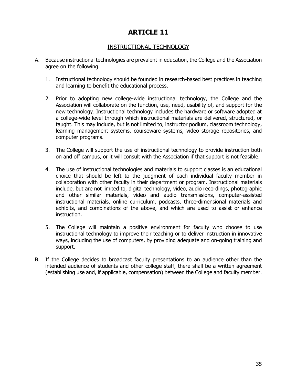# INSTRUCTIONAL TECHNOLOGY

- A. Because instructional technologies are prevalent in education, the College and the Association agree on the following.
	- 1. Instructional technology should be founded in research-based best practices in teaching and learning to benefit the educational process.
	- 2. Prior to adopting new college-wide instructional technology, the College and the Association will collaborate on the function, use, need, usability of, and support for the new technology. Instructional technology includes the hardware or software adopted at a college-wide level through which instructional materials are delivered, structured, or taught. This may include, but is not limited to, instructor podium, classroom technology, learning management systems, courseware systems, video storage repositories, and computer programs.
	- 3. The College will support the use of instructional technology to provide instruction both on and off campus, or it will consult with the Association if that support is not feasible.
	- 4. The use of instructional technologies and materials to support classes is an educational choice that should be left to the judgment of each individual faculty member in collaboration with other faculty in their department or program. Instructional materials include, but are not limited to, digital technology, video, audio recordings, photographic and other similar materials, video and audio transmissions, computer-assisted instructional materials, online curriculum, podcasts, three-dimensional materials and exhibits, and combinations of the above, and which are used to assist or enhance instruction.
	- 5. The College will maintain a positive environment for faculty who choose to use instructional technology to improve their teaching or to deliver instruction in innovative ways, including the use of computers, by providing adequate and on-going training and support.
- B. If the College decides to broadcast faculty presentations to an audience other than the intended audience of students and other college staff, there shall be a written agreement (establishing use and, if applicable, compensation) between the College and faculty member.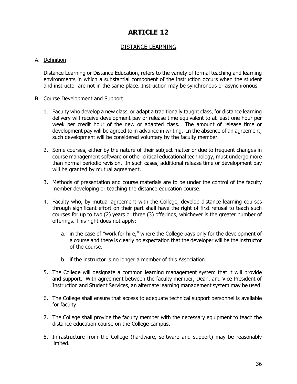# DISTANCE LEARNING

### A. Definition

Distance Learning or Distance Education, refers to the variety of formal teaching and learning environments in which a substantial component of the instruction occurs when the student and instructor are not in the same place. Instruction may be synchronous or asynchronous.

#### B. Course Development and Support

- 1. Faculty who develop a new class, or adapt a traditionally taught class, for distance learning delivery will receive development pay or release time equivalent to at least one hour per week per credit hour of the new or adapted class. The amount of release time or development pay will be agreed to in advance in writing. In the absence of an agreement, such development will be considered voluntary by the faculty member.
- 2. Some courses, either by the nature of their subject matter or due to frequent changes in course management software or other critical educational technology, must undergo more than normal periodic revision. In such cases, additional release time or development pay will be granted by mutual agreement.
- 3. Methods of presentation and course materials are to be under the control of the faculty member developing or teaching the distance education course.
- 4. Faculty who, by mutual agreement with the College, develop distance learning courses through significant effort on their part shall have the right of first refusal to teach such courses for up to two (2) years or three (3) offerings, whichever is the greater number of offerings. This right does not apply:
	- a. in the case of "work for hire," where the College pays only for the development of a course and there is clearly no expectation that the developer will be the instructor of the course.
	- b. if the instructor is no longer a member of this Association.
- 5. The College will designate a common learning management system that it will provide and support. With agreement between the faculty member, Dean, and Vice President of Instruction and Student Services, an alternate learning management system may be used.
- 6. The College shall ensure that access to adequate technical support personnel is available for faculty.
- 7. The College shall provide the faculty member with the necessary equipment to teach the distance education course on the College campus.
- 8. Infrastructure from the College (hardware, software and support) may be reasonably limited.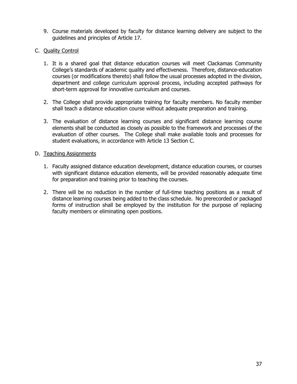- 9. Course materials developed by faculty for distance learning delivery are subject to the guidelines and principles of Article 17.
- C. Quality Control
	- 1. It is a shared goal that distance education courses will meet Clackamas Community College's standards of academic quality and effectiveness. Therefore, distance-education courses (or modifications thereto) shall follow the usual processes adopted in the division, department and college curriculum approval process, including accepted pathways for short-term approval for innovative curriculum and courses.
	- 2. The College shall provide appropriate training for faculty members. No faculty member shall teach a distance education course without adequate preparation and training.
	- 3. The evaluation of distance learning courses and significant distance learning course elements shall be conducted as closely as possible to the framework and processes of the evaluation of other courses. The College shall make available tools and processes for student evaluations, in accordance with Article 13 Section C.

#### D. Teaching Assignments

- 1. Faculty assigned distance education development, distance education courses, or courses with significant distance education elements, will be provided reasonably adequate time for preparation and training prior to teaching the courses.
- 2. There will be no reduction in the number of full-time teaching positions as a result of distance learning courses being added to the class schedule. No prerecorded or packaged forms of instruction shall be employed by the institution for the purpose of replacing faculty members or eliminating open positions.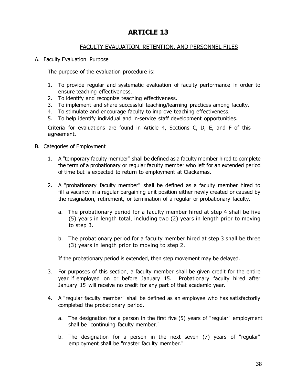# FACULTY EVALUATION, RETENTION, AND PERSONNEL FILES

#### A. Faculty Evaluation Purpose

The purpose of the evaluation procedure is:

- 1. To provide regular and systematic evaluation of faculty performance in order to ensure teaching effectiveness.
- 2. To identify and recognize teaching effectiveness.
- 3. To implement and share successful teaching/learning practices among faculty.
- 4. To stimulate and encourage faculty to improve teaching effectiveness.
- 5. To help identify individual and in-service staff development opportunities.

Criteria for evaluations are found in Article 4, Sections C, D, E, and F of this agreement.

#### B. Categories of Employment

- 1. A "temporary faculty member" shall be defined as a faculty member hired to complete the term of a probationary or regular faculty member who left for an extended period of time but is expected to return to employment at Clackamas.
- 2. A "probationary faculty member" shall be defined as a faculty member hired to fill a vacancy in a regular bargaining unit position either newly created or caused by the resignation, retirement, or termination of a regular or probationary faculty.
	- a. The probationary period for a faculty member hired at step 4 shall be five (5) years in length total, including two (2) years in length prior to moving to step 3.
	- b. The probationary period for a faculty member hired at step 3 shall be three (3) years in length prior to moving to step 2.

If the probationary period is extended, then step movement may be delayed.

- 3. For purposes of this section, a faculty member shall be given credit for the entire year if employed on or before January 15. Probationary faculty hired after January 15 will receive no credit for any part of that academic year.
- 4. A "regular faculty member" shall be defined as an employee who has satisfactorily completed the probationary period.
	- a. The designation for a person in the first five (5) years of "regular" employment shall be "continuing faculty member."
	- b. The designation for a person in the next seven (7) years of "regular" employment shall be "master faculty member."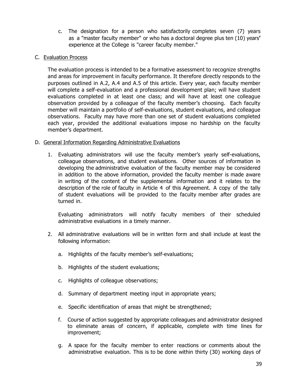c. The designation for a person who satisfactorily completes seven (7) years as a "master faculty member" or who has a doctoral degree plus ten (10) years**'** experience at the College is "career faculty member."

### C. Evaluation Process

The evaluation process is intended to be a formative assessment to recognize strengths and areas for improvement in faculty performance. It therefore directly responds to the purposes outlined in A.2, A.4 and A.5 of this article. Every year, each faculty member will complete a self-evaluation and a professional development plan; will have student evaluations completed in at least one class; and will have at least one colleague observation provided by a colleague of the faculty member's choosing. Each faculty member will maintain a portfolio of self-evaluations, student evaluations, and colleague observations. Faculty may have more than one set of student evaluations completed each year, provided the additional evaluations impose no hardship on the faculty member's department.

### D. General Information Regarding Administrative Evaluations

1. Evaluating administrators will use the faculty member's yearly self-evaluations, colleague observations, and student evaluations. Other sources of information in developing the administrative evaluation of the faculty member may be considered in addition to the above information, provided the faculty member is made aware in writing of the content of the supplemental information and it relates to the description of the role of faculty in Article 4 of this Agreement. A copy of the tally of student evaluations will be provided to the faculty member after grades are turned in.

Evaluating administrators will notify faculty members of their scheduled administrative evaluations in a timely manner.

- 2. All administrative evaluations will be in written form and shall include at least the following information:
	- a. Highlights of the faculty member's self-evaluations;
	- b. Highlights of the student evaluations;
	- c. Highlights of colleague observations;
	- d. Summary of department meeting input in appropriate years;
	- e. Specific identification of areas that might be strengthened;
	- f. Course of action suggested by appropriate colleagues and administrator designed to eliminate areas of concern, if applicable, complete with time lines for improvement;
	- g. A space for the faculty member to enter reactions or comments about the administrative evaluation. This is to be done within thirty (30) working days of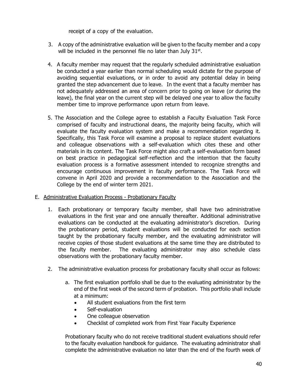receipt of a copy of the evaluation.

- 3. A copy of the administrative evaluation will be given to the faculty member and a copy will be included in the personnel file no later than July  $31<sup>st</sup>$ .
- 4. A faculty member may request that the regularly scheduled administrative evaluation be conducted a year earlier than normal scheduling would dictate for the purpose of avoiding sequential evaluations, or in order to avoid any potential delay in being granted the step advancement due to leave. In the event that a faculty member has not adequately addressed an area of concern prior to going on leave (or during the leave), the final year on the current step will be delayed one year to allow the faculty member time to improve performance upon return from leave.
- 5. The Association and the College agree to establish a Faculty Evaluation Task Force comprised of faculty and instructional deans, the majority being faculty, which will evaluate the faculty evaluation system and make a recommendation regarding it. Specifically, this Task Force will examine a proposal to replace student evaluations and colleague observations with a self-evaluation which cites these and other materials in its content. The Task Force might also craft a self-evaluation form based on best practice in pedagogical self-reflection and the intention that the faculty evaluation process is a formative assessment intended to recognize strengths and encourage continuous improvement in faculty performance. The Task Force will convene in April 2020 and provide a recommendation to the Association and the College by the end of winter term 2021.
- E. Administrative Evaluation Process Probationary Faculty
	- 1. Each probationary or temporary faculty member, shall have two administrative evaluations in the first year and one annually thereafter. Additional administrative evaluations can be conducted at the evaluating administrator's discretion. During the probationary period, student evaluations will be conducted for each section taught by the probationary faculty member, and the evaluating administrator will receive copies of those student evaluations at the same time they are distributed to the faculty member. The evaluating administrator may also schedule class observations with the probationary faculty member.
	- 2. The administrative evaluation process for probationary faculty shall occur as follows:
		- a. The first evaluation portfolio shall be due to the evaluating administrator by the end of the first week of the second term of probation. This portfolio shall include at a minimum:
			- All student evaluations from the first term
			- Self-evaluation
			- One colleague observation
			- Checklist of completed work from First Year Faculty Experience

Probationary faculty who do not receive traditional student evaluations should refer to the faculty evaluation handbook for guidance. The evaluating administrator shall complete the administrative evaluation no later than the end of the fourth week of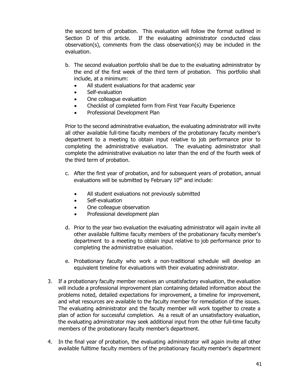the second term of probation. This evaluation will follow the format outlined in Section D of this article. If the evaluating administrator conducted class observation(s), comments from the class observation(s) may be included in the evaluation.

- b. The second evaluation portfolio shall be due to the evaluating administrator by the end of the first week of the third term of probation. This portfolio shall include, at a minimum:
	- All student evaluations for that academic year
	- Self-evaluation
	- One colleague evaluation
	- Checklist of completed form from First Year Faculty Experience
	- Professional Development Plan

Prior to the second administrative evaluation, the evaluating administrator will invite all other available full-time faculty members of the probationary faculty member's department to a meeting to obtain input relative to job performance prior to completing the administrative evaluation. The evaluating administrator shall complete the administrative evaluation no later than the end of the fourth week of the third term of probation.

- c. After the first year of probation, and for subsequent years of probation, annual evaluations will be submitted by February 10<sup>th</sup> and include:
	- All student evaluations not previously submitted
	- Self-evaluation
	- One colleague observation
	- Professional development plan
- d. Prior to the year two evaluation the evaluating administrator will again invite all other available fulltime faculty members of the probationary faculty member's department to a meeting to obtain input relative to job performance prior to completing the administrative evaluation.
- e. Probationary faculty who work a non-traditional schedule will develop an equivalent timeline for evaluations with their evaluating administrator.
- 3. If a probationary faculty member receives an unsatisfactory evaluation, the evaluation will include a professional improvement plan containing detailed information about the problems noted, detailed expectations for improvement, a timeline for improvement, and what resources are available to the faculty member for remediation of the issues. The evaluating administrator and the faculty member will work together to create a plan of action for successful completion. As a result of an unsatisfactory evaluation, the evaluating administrator may seek additional input from the other full-time faculty members of the probationary faculty member's department.
- 4. In the final year of probation, the evaluating administrator will again invite all other available fulltime faculty members of the probationary faculty member's department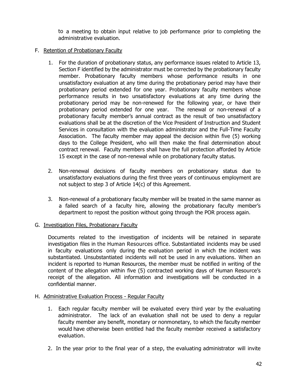to a meeting to obtain input relative to job performance prior to completing the administrative evaluation.

### F. Retention of Probationary Faculty

- 1. For the duration of probationary status, any performance issues related to Article 13, Section F identified by the administrator must be corrected by the probationary faculty member. Probationary faculty members whose performance results in one unsatisfactory evaluation at any time during the probationary period may have their probationary period extended for one year. Probationary faculty members whose performance results in two unsatisfactory evaluations at any time during the probationary period may be non-renewed for the following year, or have their probationary period extended for one year. The renewal or non-renewal of a probationary faculty member's annual contract as the result of two unsatisfactory evaluations shall be at the discretion of the Vice President of Instruction and Student Services in consultation with the evaluation administrator and the Full-Time Faculty Association. The faculty member may appeal the decision within five (5) working days to the College President, who will then make the final determination about contract renewal. Faculty members shall have the full protection afforded by Article 15 except in the case of non-renewal while on probationary faculty status.
- 2. Non-renewal decisions of faculty members on probationary status due to unsatisfactory evaluations during the first three years of continuous employment are not subject to step 3 of Article 14(c) of this Agreement.
- 3. Non-renewal of a probationary faculty member will be treated in the same manner as a failed search of a faculty hire, allowing the probationary faculty member's department to repost the position without going through the POR process again.

### G. Investigation Files, Probationary Faculty

Documents related to the investigation of incidents will be retained in separate investigation files in the Human Resources office. Substantiated incidents may be used in faculty evaluations only during the evaluation period in which the incident was substantiated. Unsubstantiated incidents will not be used in any evaluations. When an incident is reported to Human Resources, the member must be notified in writing of the content of the allegation within five (5) contracted working days of Human Resource's receipt of the allegation. All information and investigations will be conducted in a confidential manner.

### H. Administrative Evaluation Process - Regular Faculty

- 1. Each regular faculty member will be evaluated every third year by the evaluating administrator. The lack of an evaluation shall not be used to deny a regular faculty member any benefit, monetary or nonmonetary, to which the faculty member would have otherwise been entitled had the faculty member received a satisfactory evaluation.
- 2. In the year prior to the final year of a step, the evaluating administrator will invite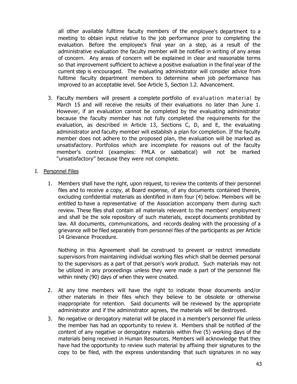all other available fulltime faculty members of the employee's department to a meeting to obtain input relative to the job performance prior to completing the evaluation. Before the employee's final year on a step, as a result of the administrative evaluation the faculty member will be notified in writing of any areas of concern. Any areas of concern will be explained in clear and reasonable terms so that improvement sufficient to achieve a positive evaluation in the final year of the current step is encouraged. The evaluating administrator will consider advice from fulltime faculty department members to determine when job performance has improved to an acceptable level. See Article 5, Section I.2. Advancement.

- 3. Faculty members will present a complete portfolio of evaluation material by March 15 and will receive the results of their evaluations no later than June 1. However, if an evaluation cannot be completed by the evaluating administrator because the faculty member has not fully completed the requirements for the evaluation, as described in Article 13, Sections C, D, and E, the evaluating administrator and faculty member will establish a plan for completion. If the faculty member does not adhere to the proposed plan, the evaluation will be marked as unsatisfactory. Portfolios which are incomplete for reasons out of the faculty member's control (examples: FMLA or sabbatical) will not be marked "unsatisfactory" because they were not complete.
- I. Personnel Files
	- 1. Members shall have the right, upon request, to review the contents of their personnel files and to receive a copy, at Board expense, of any documents contained therein, excluding confidential materials as identified in item four (4) below. Members will be entitled to have a representative of the Association accompany them during such review. These files shall contain all materials relevant to the members' employment and shall be the sole repository of such materials, except documents prohibited by law. All documents, communications, and records dealing with the processing of a grievance will be filed separately from personnel files of the participants as per Article 14 Grievance Procedure.

Nothing in this Agreement shall be construed to prevent or restrict immediate supervisors from maintaining individual working files which shall be deemed personal to the supervisors as a part of that person's work product. Such materials may not be utilized in any proceedings unless they were made a part of the personnel file within ninety (90) days of when they were created.

- 2. At any time members will have the right to indicate those documents and/or other materials in their files which they believe to be obsolete or otherwise inappropriate for retention. Said documents will be reviewed by the appropriate administrator and if the administrator agrees, the materials will be destroyed.
- 3. No negative or derogatory material will be placed in a member's personnel file unless the member has had an opportunity to review it. Members shall be notified of the content of any negative or derogatory materials within five (5) working days of the materials being received in Human Resources. Members will acknowledge that they have had the opportunity to review such material by affixing their signatures to the copy to be filed, with the express understanding that such signatures in no way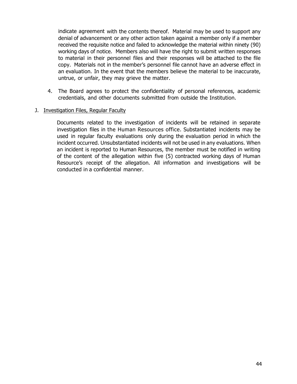indicate agreement with the contents thereof. Material may be used to support any denial of advancement or any other action taken against a member only if a member received the requisite notice and failed to acknowledge the material within ninety (90) working days of notice. Members also will have the right to submit written responses to material in their personnel files and their responses will be attached to the file copy. Materials not in the member's personnel file cannot have an adverse effect in an evaluation. In the event that the members believe the material to be inaccurate, untrue, or unfair, they may grieve the matter.

4. The Board agrees to protect the confidentiality of personal references, academic credentials, and other documents submitted from outside the Institution.

#### J. Investigation Files, Regular Faculty

Documents related to the investigation of incidents will be retained in separate investigation files in the Human Resources office. Substantiated incidents may be used in regular faculty evaluations only during the evaluation period in which the incident occurred. Unsubstantiated incidents will not be used in any evaluations. When an incident is reported to Human Resources, the member must be notified in writing of the content of the allegation within five (5) contracted working days of Human Resource's receipt of the allegation. All information and investigations will be conducted in a confidential manner.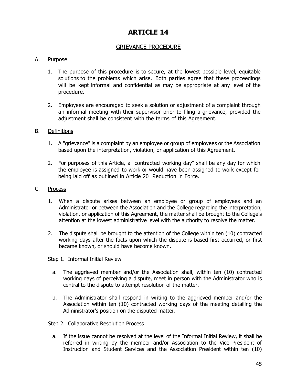# GRIEVANCE PROCEDURE

#### A. Purpose

- 1. The purpose of this procedure is to secure, at the lowest possible level, equitable solutions to the problems which arise. Both parties agree that these proceedings will be kept informal and confidential as may be appropriate at any level of the procedure.
- 2. Employees are encouraged to seek a solution or adjustment of a complaint through an informal meeting with their supervisor prior to filing a grievance, provided the adjustment shall be consistent with the terms of this Agreement.

#### B. Definitions

- 1. A "grievance" is a complaint by an employee or group of employees or the Association based upon the interpretation, violation, or application of this Agreement.
- 2. For purposes of this Article, a "contracted working day" shall be any day for which the employee is assigned to work or would have been assigned to work except for being laid off as outlined in Article 20 Reduction in Force.

#### C. Process

- 1. When a dispute arises between an employee or group of employees and an Administrator or between the Association and the College regarding the interpretation, violation, or application of this Agreement, the matter shall be brought to the College's attention at the lowest administrative level with the authority to resolve the matter.
- 2. The dispute shall be brought to the attention of the College within ten (10) contracted working days after the facts upon which the dispute is based first occurred, or first became known, or should have become known.

Step 1. Informal Initial Review

- a. The aggrieved member and/or the Association shall, within ten (10) contracted working days of perceiving a dispute, meet in person with the Administrator who is central to the dispute to attempt resolution of the matter.
- b. The Administrator shall respond in writing to the aggrieved member and/or the Association within ten (10) contracted working days of the meeting detailing the Administrator's position on the disputed matter.

Step 2. Collaborative Resolution Process

a. If the issue cannot be resolved at the level of the Informal Initial Review, it shall be referred in writing by the member and/or Association to the Vice President of Instruction and Student Services and the Association President within ten (10)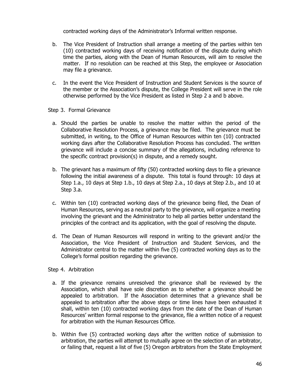contracted working days of the Administrator's Informal written response.

- b. The Vice President of Instruction shall arrange a meeting of the parties within ten (10) contracted working days of receiving notification of the dispute during which time the parties, along with the Dean of Human Resources, will aim to resolve the matter. If no resolution can be reached at this Step, the employee or Association may file a grievance.
- c. In the event the Vice President of Instruction and Student Services is the source of the member or the Association's dispute, the College President will serve in the role otherwise performed by the Vice President as listed in Step 2 a and b above.

#### Step 3. Formal Grievance

- a. Should the parties be unable to resolve the matter within the period of the Collaborative Resolution Process, a grievance may be filed. The grievance must be submitted, in writing, to the Office of Human Resources within ten (10) contracted working days after the Collaborative Resolution Process has concluded. The written grievance will include a concise summary of the allegations, including reference to the specific contract provision(s) in dispute, and a remedy sought.
- b. The grievant has a maximum of fifty (50) contracted working days to file a grievance following the initial awareness of a dispute. This total is found through: 10 days at Step 1.a., 10 days at Step 1.b., 10 days at Step 2.a., 10 days at Step 2.b., and 10 at Step 3.a.
- c. Within ten (10) contracted working days of the grievance being filed, the Dean of Human Resources, serving as a neutral party to the grievance, will organize a meeting involving the grievant and the Administrator to help all parties better understand the principles of the contract and its application, with the goal of resolving the dispute.
- d. The Dean of Human Resources will respond in writing to the grievant and/or the Association, the Vice President of Instruction and Student Services, and the Administrator central to the matter within five (5) contracted working days as to the College's formal position regarding the grievance.

#### Step 4. Arbitration

- a. If the grievance remains unresolved the grievance shall be reviewed by the Association, which shall have sole discretion as to whether a grievance should be appealed to arbitration. If the Association determines that a grievance shall be appealed to arbitration after the above steps or time lines have been exhausted it shall, within ten (10) contracted working days from the date of the Dean of Human Resources' written formal response to the grievance, file a written notice of a request for arbitration with the Human Resources Office.
- b. Within five (5) contracted working days after the written notice of submission to arbitration, the parties will attempt to mutually agree on the selection of an arbitrator, or failing that, request a list of five (5) Oregon arbitrators from the State Employment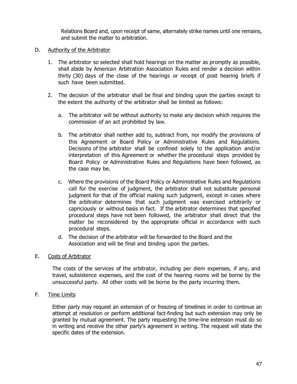Relations Board and, upon receipt of same, alternately strike names until one remains, and submit the matter to arbitration.

#### D. Authority of the Arbitrator

- 1. The arbitrator so selected shall hold hearings on the matter as promptly as possible, shall abide by American Arbitration Association Rules and render a decision within thirty (30) days of the close of the hearings or receipt of post hearing briefs if such have been submitted.
- 2. The decision of the arbitrator shall be final and binding upon the parties except to the extent the authority of the arbitrator shall be limited as follows:
	- a. The arbitrator will be without authority to make any decision which requires the commission of an act prohibited by law.
	- b. The arbitrator shall neither add to, subtract from, nor modify the provisions of this Agreement or Board Policy or Administrative Rules and Regulations. Decisions of the arbitrator shall be confined solely to the application and/or interpretation of this Agreement or whether the procedural steps provided by Board Policy or Administrative Rules and Regulations have been followed, as the case may be.
	- c. Where the provisions of the Board Policy or Administrative Rules and Regulations call for the exercise of judgment, the arbitrator shall not substitute personal judgment for that of the official making such judgment, except in cases where the arbitrator determines that such judgment was exercised arbitrarily or capriciously or without basis in fact. If the arbitrator determines that specified procedural steps have not been followed, the arbitrator shall direct that the matter be reconsidered by the appropriate official in accordance with such procedural steps.
	- d. The decision of the arbitrator will be forwarded to the Board and the Association and will be final and binding upon the parties.

#### E. Costs of Arbitrator

The costs of the services of the arbitrator, including per diem expenses, if any, and travel, subsistence expenses, and the cost of the hearing rooms will be borne by the unsuccessful party. All other costs will be borne by the party incurring them.

#### F. Time Limits

Either party may request an extension of or freezing of timelines in order to continue an attempt at resolution or perform additional fact-finding but such extension may only be granted by mutual agreement. The party requesting the time-line extension must do so in writing and receive the other party's agreement in writing. The request will state the specific dates of the extension.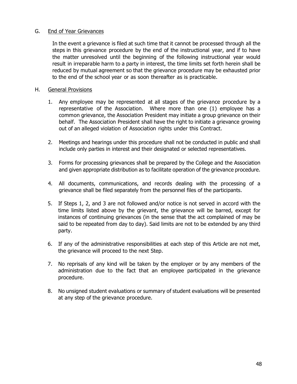#### G. End of Year Grievances

In the event a grievance is filed at such time that it cannot be processed through all the steps in this grievance procedure by the end of the instructional year, and if to have the matter unresolved until the beginning of the following instructional year would result in irreparable harm to a party in interest, the time limits set forth herein shall be reduced by mutual agreement so that the grievance procedure may be exhausted prior to the end of the school year or as soon thereafter as is practicable.

#### H. General Provisions

- 1. Any employee may be represented at all stages of the grievance procedure by a representative of the Association. Where more than one (1) employee has a common grievance, the Association President may initiate a group grievance on their behalf. The Association President shall have the right to initiate a grievance growing out of an alleged violation of Association rights under this Contract.
- 2. Meetings and hearings under this procedure shall not be conducted in public and shall include only parties in interest and their designated or selected representatives.
- 3. Forms for processing grievances shall be prepared by the College and the Association and given appropriate distribution as to facilitate operation of the grievance procedure.
- 4. All documents, communications, and records dealing with the processing of a grievance shall be filed separately from the personnel files of the participants.
- 5. If Steps 1, 2, and 3 are not followed and/or notice is not served in accord with the time limits listed above by the grievant, the grievance will be barred, except for instances of continuing grievances (in the sense that the act complained of may be said to be repeated from day to day). Said limits are not to be extended by any third party.
- 6. If any of the administrative responsibilities at each step of this Article are not met, the grievance will proceed to the next Step.
- 7. No reprisals of any kind will be taken by the employer or by any members of the administration due to the fact that an employee participated in the grievance procedure.
- 8. No unsigned student evaluations or summary of student evaluations will be presented at any step of the grievance procedure.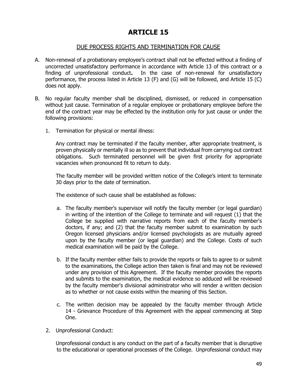### DUE PROCESS RIGHTS AND TERMINATION FOR CAUSE

- A. Non-renewal of a probationary employee's contract shall not be effected without a finding of uncorrected unsatisfactory performance in accordance with Article 13 of this contract or a finding of unprofessional conduct**.** In the case of non-renewal for unsatisfactory performance, the process listed in Article 13 (F) and (G) will be followed, and Article 15 (C) does not apply.
- B. No regular faculty member shall be disciplined, dismissed, or reduced in compensation without just cause. Termination of a regular employee or probationary employee before the end of the contract year may be effected by the institution only for just cause or under the following provisions:
	- 1. Termination for physical or mental illness:

Any contract may be terminated if the faculty member, after appropriate treatment, is proven physically or mentally ill so as to prevent that individual from carrying out contract obligations. Such terminated personnel will be given first priority for appropriate vacancies when pronounced fit to return to duty.

The faculty member will be provided written notice of the College's intent to terminate 30 days prior to the date of termination.

The existence of such cause shall be established as follows:

- a. The faculty member's supervisor will notify the faculty member (or legal guardian) in writing of the intention of the College to terminate and will request (1) that the College be supplied with narrative reports from each of the faculty member's doctors, if any; and (2) that the faculty member submit to examination by such Oregon licensed physicians and/or licensed psychologists as are mutually agreed upon by the faculty member (or legal guardian) and the College. Costs of such medical examination will be paid by the College.
- b. If the faculty member either fails to provide the reports or fails to agree to or submit to the examinations, the College action then taken is final and may not be reviewed under any provision of this Agreement. If the faculty member provides the reports and submits to the examination, the medical evidence so adduced will be reviewed by the faculty member's divisional administrator who will render a written decision as to whether or not cause exists within the meaning of this Section.
- c. The written decision may be appealed by the faculty member through Article 14 - Grievance Procedure of this Agreement with the appeal commencing at Step One.
- 2. Unprofessional Conduct:

 Unprofessional conduct is any conduct on the part of a faculty member that is disruptive to the educational or operational processes of the College. Unprofessional conduct may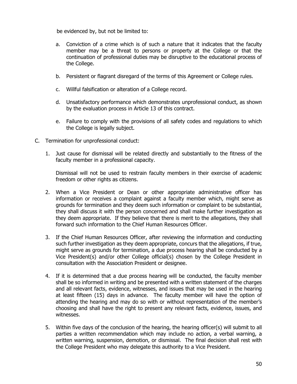be evidenced by, but not be limited to:

- a. Conviction of a crime which is of such a nature that it indicates that the faculty member may be a threat to persons or property at the College or that the continuation of professional duties may be disruptive to the educational process of the College.
- b. Persistent or flagrant disregard of the terms of this Agreement or College rules.
- c. Willful falsification or alteration of a College record.
- d. Unsatisfactory performance which demonstrates unprofessional conduct, as shown by the evaluation process in Article 13 of this contract.
- e. Failure to comply with the provisions of all safety codes and regulations to which the College is legally subject.
- C. Termination for unprofessional conduct:
	- 1. Just cause for dismissal will be related directly and substantially to the fitness of the faculty member in a professional capacity.

Dismissal will not be used to restrain faculty members in their exercise of academic freedom or other rights as citizens.

- 2. When a Vice President or Dean or other appropriate administrative officer has information or receives a complaint against a faculty member which, might serve as grounds for termination and they deem such information or complaint to be substantial, they shall discuss it with the person concerned and shall make further investigation as they deem appropriate. If they believe that there is merit to the allegations, they shall forward such information to the Chief Human Resources Officer.
- 3. If the Chief Human Resources Officer, after reviewing the information and conducting such further investigation as they deem appropriate, concurs that the allegations, if true, might serve as grounds for termination, a due process hearing shall be conducted by a Vice President(s) and/or other College official(s) chosen by the College President in consultation with the Association President or designee.
- 4. If it is determined that a due process hearing will be conducted, the faculty member shall be so informed in writing and be presented with a written statement of the charges and all relevant facts, evidence, witnesses, and issues that may be used in the hearing at least fifteen (15) days in advance. The faculty member will have the option of attending the hearing and may do so with or without representation of the member's choosing and shall have the right to present any relevant facts, evidence, issues, and witnesses.
- 5. Within five days of the conclusion of the hearing, the hearing officer(s) will submit to all parties a written recommendation which may include no action, a verbal warning, a written warning, suspension, demotion, or dismissal. The final decision shall rest with the College President who may delegate this authority to a Vice President.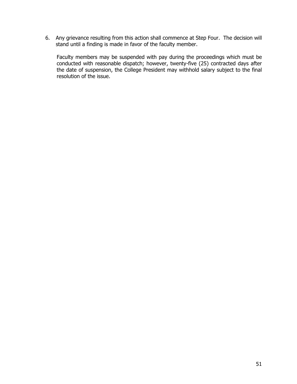6. Any grievance resulting from this action shall commence at Step Four. The decision will stand until a finding is made in favor of the faculty member.

Faculty members may be suspended with pay during the proceedings which must be conducted with reasonable dispatch; however, twenty-five (25) contracted days after the date of suspension, the College President may withhold salary subject to the final resolution of the issue.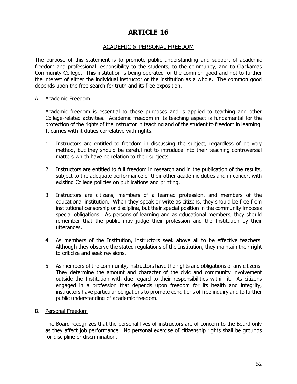### ACADEMIC & PERSONAL FREEDOM

The purpose of this statement is to promote public understanding and support of academic freedom and professional responsibility to the students, to the community, and to Clackamas Community College. This institution is being operated for the common good and not to further the interest of either the individual instructor or the institution as a whole. The common good depends upon the free search for truth and its free exposition.

#### A. Academic Freedom

 Academic freedom is essential to these purposes and is applied to teaching and other College-related activities. Academic freedom in its teaching aspect is fundamental for the protection of the rights of the instructor in teaching and of the student to freedom in learning. It carries with it duties correlative with rights.

- 1. Instructors are entitled to freedom in discussing the subject, regardless of delivery method, but they should be careful not to introduce into their teaching controversial matters which have no relation to their subjects.
- 2. Instructors are entitled to full freedom in research and in the publication of the results, subject to the adequate performance of their other academic duties and in concert with existing College policies on publications and printing.
- 3. Instructors are citizens, members of a learned profession, and members of the educational institution. When they speak or write as citizens, they should be free from institutional censorship or discipline, but their special position in the community imposes special obligations. As persons of learning and as educational members, they should remember that the public may judge their profession and the Institution by their utterances.
- 4. As members of the Institution, instructors seek above all to be effective teachers. Although they observe the stated regulations of the Institution, they maintain their right to criticize and seek revisions.
- 5. As members of the community, instructors have the rights and obligations of any citizens. They determine the amount and character of the civic and community involvement outside the Institution with due regard to their responsibilities within it. As citizens engaged in a profession that depends upon freedom for its health and integrity, instructors have particular obligations to promote conditions of free inquiry and to further public understanding of academic freedom.

#### B. Personal Freedom

The Board recognizes that the personal lives of instructors are of concern to the Board only as they affect job performance. No personal exercise of citizenship rights shall be grounds for discipline or discrimination.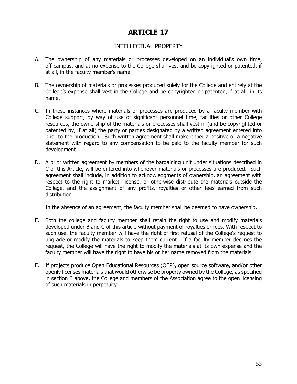# INTELLECTUAL PROPERTY

- A. The ownership of any materials or processes developed on an individual's own time, off-campus, and at no expense to the College shall vest and be copyrighted or patented, if at all, in the faculty member's name.
- B. The ownership of materials or processes produced solely for the College and entirely at the College's expense shall vest in the College and be copyrighted or patented, if at all, in its name.
- C. In those instances where materials or processes are produced by a faculty member with College support, by way of use of significant personnel time, facilities or other College resources, the ownership of the materials or processes shall vest in (and be copyrighted or patented by, if at all) the party or parties designated by a written agreement entered into prior to the production. Such written agreement shall make either a positive or a negative statement with regard to any compensation to be paid to the faculty member for such development.
- D. A prior written agreement by members of the bargaining unit under situations described in C of this Article, will be entered into whenever materials or processes are produced. Such agreement shall include, in addition to acknowledgments of ownership, an agreement with respect to the right to market, license, or otherwise distribute the materials outside the College, and the assignment of any profits, royalties or other fees earned from such distribution.

In the absence of an agreement, the faculty member shall be deemed to have ownership.

- E. Both the college and faculty member shall retain the right to use and modify materials developed under B and C of this article without payment of royalties or fees. With respect to such use, the faculty member will have the right of first refusal of the College's request to upgrade or modify the materials to keep them current. If a faculty member declines the request, the College will have the right to modify the materials at its own expense and the faculty member will have the right to have his or her name removed from the materials.
- F. If projects produce Open Educational Resources (OER), open source software, and/or other openly licenses materials that would otherwise be property owned by the College, as specified in section B above, the College and members of the Association agree to the open licensing of such materials in perpetuity.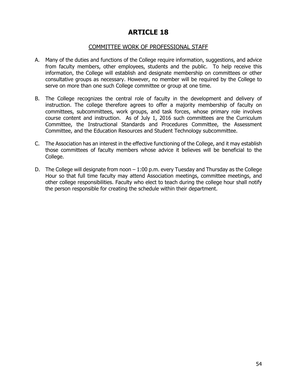### COMMITTEE WORK OF PROFESSIONAL STAFF

- A. Many of the duties and functions of the College require information, suggestions, and advice from faculty members, other employees, students and the public. To help receive this information, the College will establish and designate membership on committees or other consultative groups as necessary. However, no member will be required by the College to serve on more than one such College committee or group at one time.
- B. The College recognizes the central role of faculty in the development and delivery of instruction. The college therefore agrees to offer a majority membership of faculty on committees, subcommittees, work groups, and task forces, whose primary role involves course content and instruction. As of July 1, 2016 such committees are the Curriculum Committee, the Instructional Standards and Procedures Committee, the Assessment Committee, and the Education Resources and Student Technology subcommittee.
- C. The Association has an interest in the effective functioning of the College, and it may establish those committees of faculty members whose advice it believes will be beneficial to the College.
- D. The College will designate from noon  $-1:00$  p.m. every Tuesday and Thursday as the College Hour so that full time faculty may attend Association meetings, committee meetings, and other college responsibilities. Faculty who elect to teach during the college hour shall notify the person responsible for creating the schedule within their department.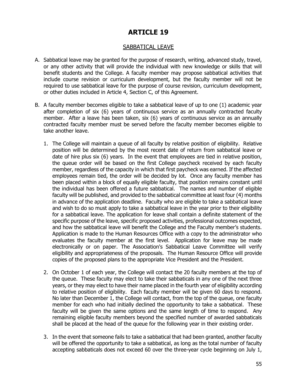### SABBATICAL LEAVE

- A. Sabbatical leave may be granted for the purpose of research, writing, advanced study, travel, or any other activity that will provide the individual with new knowledge or skills that will benefit students and the College. A faculty member may propose sabbatical activities that include course revision or curriculum development, but the faculty member will not be required to use sabbatical leave for the purpose of course revision, curriculum development, or other duties included in Article 4, Section C, of this Agreement.
- B. A faculty member becomes eligible to take a sabbatical leave of up to one (1) academic year after completion of six (6) years of continuous service as an annually contracted faculty member. After a leave has been taken, six (6) years of continuous service as an annually contracted faculty member must be served before the faculty member becomes eligible to take another leave.
	- 1. The College will maintain a queue of all faculty by relative position of eligibility. Relative position will be determined by the most recent date of return from sabbatical leave or date of hire plus six (6) years. In the event that employees are tied in relative position, the queue order will be based on the first College paycheck received by each faculty member, regardless of the capacity in which that first paycheck was earned. If the affected employees remain tied, the order will be decided by lot. Once any faculty member has been placed within a block of equally eligible faculty, that position remains constant until the individual has been offered a future sabbatical. The names and number of eligible faculty will be published, and provided to the sabbatical committee at least four (4) months in advance of the application deadline. Faculty who are eligible to take a sabbatical leave and wish to do so must apply to take a sabbatical leave in the year prior to their eligibility for a sabbatical leave. The application for leave shall contain a definite statement of the specific purpose of the leave, specific proposed activities, professional outcomes expected, and how the sabbatical leave will benefit the College and the Faculty member's students. Application is made to the Human Resources Office with a copy to the administrator who evaluates the faculty member at the first level. Application for leave may be made electronically or on paper. The Association's Sabbatical Leave Committee will verify eligibility and appropriateness of the proposals. The Human Resource Office will provide copies of the proposed plans to the appropriate Vice President and the President.
	- 2. On October 1 of each year, the College will contact the 20 faculty members at the top of the queue. These faculty may elect to take their sabbaticals in any one of the next three years, or they may elect to have their name placed in the fourth year of eligibility according to relative position of eligibility. Each faculty member will be given 60 days to respond. No later than December 1, the College will contact, from the top of the queue, one faculty member for each who had initially declined the opportunity to take a sabbatical. These faculty will be given the same options and the same length of time to respond. Any remaining eligible faculty members beyond the specified number of awarded sabbaticals shall be placed at the head of the queue for the following year in their existing order.
	- 3. In the event that someone fails to take a sabbatical that had been granted, another faculty will be offered the opportunity to take a sabbatical, as long as the total number of faculty accepting sabbaticals does not exceed 60 over the three-year cycle beginning on July 1,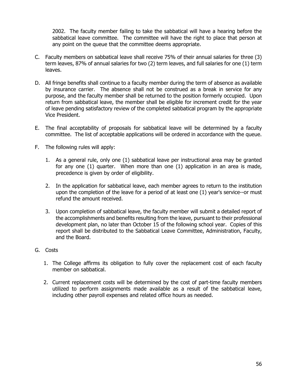2002. The faculty member failing to take the sabbatical will have a hearing before the sabbatical leave committee. The committee will have the right to place that person at any point on the queue that the committee deems appropriate.

- C. Faculty members on sabbatical leave shall receive 75% of their annual salaries for three (3) term leaves, 87% of annual salaries for two (2) term leaves, and full salaries for one (1) term leaves.
- D. All fringe benefits shall continue to a faculty member during the term of absence as available by insurance carrier. The absence shall not be construed as a break in service for any purpose, and the faculty member shall be returned to the position formerly occupied. Upon return from sabbatical leave, the member shall be eligible for increment credit for the year of leave pending satisfactory review of the completed sabbatical program by the appropriate Vice President.
- E. The final acceptability of proposals for sabbatical leave will be determined by a faculty committee. The list of acceptable applications will be ordered in accordance with the queue.
- F. The following rules will apply:
	- 1. As a general rule, only one (1) sabbatical leave per instructional area may be granted for any one (1) quarter. When more than one (1) application in an area is made, precedence is given by order of eligibility.
	- 2. In the application for sabbatical leave, each member agrees to return to the institution upon the completion of the leave for a period of at least one (1) year's service--or must refund the amount received.
	- 3. Upon completion of sabbatical leave, the faculty member will submit a detailed report of the accomplishments and benefits resulting from the leave, pursuant to their professional development plan, no later than October 15 of the following school year. Copies of this report shall be distributed to the Sabbatical Leave Committee, Administration, Faculty, and the Board.
- G. Costs
	- 1. The College affirms its obligation to fully cover the replacement cost of each faculty member on sabbatical.
	- 2. Current replacement costs will be determined by the cost of part-time faculty members utilized to perform assignments made available as a result of the sabbatical leave, including other payroll expenses and related office hours as needed.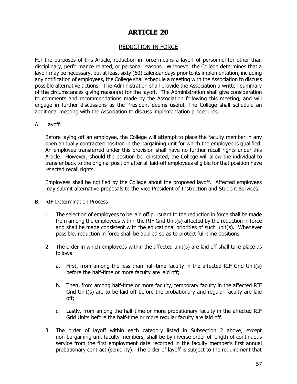# REDUCTION IN FORCE

For the purposes of this Article, reduction in force means a layoff of personnel for other than disciplinary, performance related, or personal reasons. Whenever the College determines that a layoff may be necessary, but at least sixty (60) calendar days prior to its implementation, including any notification of employees, the College shall schedule a meeting with the Association to discuss possible alternative actions. The Administration shall provide the Association a written summary of the circumstances giving reason(s) for the layoff. The Administration shall give consideration to comments and recommendations made by the Association following this meeting, and will engage in further discussions as the President deems useful. The College shall schedule an additional meeting with the Association to discuss implementation procedures.

#### A. Layoff

Before laying off an employee, the College will attempt to place the faculty member in any open annually contracted position in the bargaining unit for which the employee is qualified. An employee transferred under this provision shall have no further recall rights under this Article. However, should the position be reinstated, the College will allow the individual to transfer back to the original position after all laid-off employees eligible for that position have rejected recall rights.

Employees shall be notified by the College about the proposed layoff. Affected employees may submit alternative proposals to the Vice President of Instruction and Student Services.

#### B. RIF Determination Process

- 1. The selection of employees to be laid off pursuant to the reduction in force shall be made from among the employees within the RIF Grid Unit(s) affected by the reduction in force and shall be made consistent with the educational priorities of such unit(s). Whenever possible, reduction in force shall be applied so as to protect full-time positions.
- 2. The order in which employees within the affected unit(s) are laid off shall take place as follows:
	- a. First, from among the less than half-time faculty in the affected RIF Grid Unit(s) before the half-time or more faculty are laid off;
	- b. Then, from among half-time or more faculty, temporary faculty in the affected RIF Grid Unit(s) are to be laid off before the probationary and regular faculty are laid off;
	- c. Lastly, from among the half-time or more probationary faculty in the affected RIF Grid Units before the half-time or more regular faculty are laid off.
- 3. The order of layoff within each category listed in Subsection 2 above, except non-bargaining unit faculty members, shall be by inverse order of length of continuous service from the first employment date recorded in the faculty member's first annual probationary contract (seniority). The order of layoff is subject to the requirement that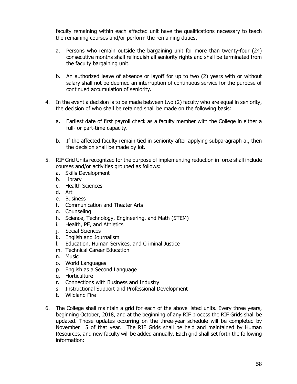faculty remaining within each affected unit have the qualifications necessary to teach the remaining courses and/or perform the remaining duties.

- a. Persons who remain outside the bargaining unit for more than twenty-four (24) consecutive months shall relinquish all seniority rights and shall be terminated from the faculty bargaining unit.
- b. An authorized leave of absence or layoff for up to two (2) years with or without salary shall not be deemed an interruption of continuous service for the purpose of continued accumulation of seniority.
- 4. In the event a decision is to be made between two (2) faculty who are equal in seniority, the decision of who shall be retained shall be made on the following basis:
	- a. Earliest date of first payroll check as a faculty member with the College in either a full- or part-time capacity.
	- b. If the affected faculty remain tied in seniority after applying subparagraph a., then the decision shall be made by lot.
- 5. RIF Grid Units recognized for the purpose of implementing reduction in force shall include courses and/or activities grouped as follows:
	- a. Skills Development
	- b. Library
	- c. Health Sciences
	- d. Art
	- e. Business
	- f. Communication and Theater Arts
	- g. Counseling
	- h. Science, Technology, Engineering, and Math (STEM)
	- i. Health, PE, and Athletics
	- j. Social Sciences
	- k. English and Journalism
	- l. Education, Human Services, and Criminal Justice
	- m. Technical Career Education
	- n. Music
	- o. World Languages
	- p. English as a Second Language
	- q. Horticulture
	- r. Connections with Business and Industry
	- s. Instructional Support and Professional Development
	- t. Wildland Fire
- 6. The College shall maintain a grid for each of the above listed units. Every three years, beginning October, 2018, and at the beginning of any RIF process the RIF Grids shall be updated. Those updates occurring on the three-year schedule will be completed by November 15 of that year. The RIF Grids shall be held and maintained by Human Resources, and new faculty will be added annually. Each grid shall set forth the following information: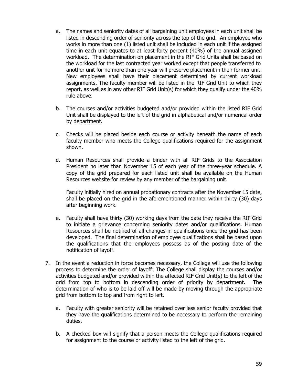- a. The names and seniority dates of all bargaining unit employees in each unit shall be listed in descending order of seniority across the top of the grid. An employee who works in more than one (1) listed unit shall be included in each unit if the assigned time in each unit equates to at least forty percent (40%) of the annual assigned workload. The determination on placement in the RIF Grid Units shall be based on the workload for the last contracted year worked except that people transferred to another unit for no more than one year will preserve placement in their former unit. New employees shall have their placement determined by current workload assignments. The faculty member will be listed in the RIF Grid Unit to which they report, as well as in any other RIF Grid Unit(s) for which they qualify under the 40% rule above.
- b. The courses and/or activities budgeted and/or provided within the listed RIF Grid Unit shall be displayed to the left of the grid in alphabetical and/or numerical order by department.
- c. Checks will be placed beside each course or activity beneath the name of each faculty member who meets the College qualifications required for the assignment shown.
- d. Human Resources shall provide a binder with all RIF Grids to the Association President no later than November 15 of each year of the three-year schedule. A copy of the grid prepared for each listed unit shall be available on the Human Resources website for review by any member of the bargaining unit.

Faculty initially hired on annual probationary contracts after the November 15 date, shall be placed on the grid in the aforementioned manner within thirty (30) days after beginning work.

- e. Faculty shall have thirty (30) working days from the date they receive the RIF Grid to initiate a grievance concerning seniority dates and/or qualifications. Human Resources shall be notified of all changes in qualifications once the grid has been developed. The final determination of employee qualifications shall be based upon the qualifications that the employees possess as of the posting date of the notification of layoff.
- 7. In the event a reduction in force becomes necessary, the College will use the following process to determine the order of layoff: The College shall display the courses and/or activities budgeted and/or provided within the affected RIF Grid Unit(s) to the left of the grid from top to bottom in descending order of priority by department. The determination of who is to be laid off will be made by moving through the appropriate grid from bottom to top and from right to left.
	- a. Faculty with greater seniority will be retained over less senior faculty provided that they have the qualifications determined to be necessary to perform the remaining duties.
	- b. A checked box will signify that a person meets the College qualifications required for assignment to the course or activity listed to the left of the grid.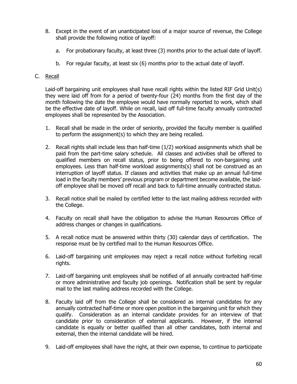- 8. Except in the event of an unanticipated loss of a major source of revenue, the College shall provide the following notice of layoff:
	- a. For probationary faculty, at least three (3) months prior to the actual date of layoff.
	- b. For regular faculty, at least six (6) months prior to the actual date of layoff.

#### C. Recall

Laid-off bargaining unit employees shall have recall rights within the listed RIF Grid Unit(s) they were laid off from for a period of twenty-four (24) months from the first day of the month following the date the employee would have normally reported to work, which shall be the effective date of layoff. While on recall, laid off full-time faculty annually contracted employees shall be represented by the Association.

- 1. Recall shall be made in the order of seniority, provided the faculty member is qualified to perform the assignment(s) to which they are being recalled.
- 2. Recall rights shall include less than half-time (1/2) workload assignments which shall be paid from the part-time salary schedule. All classes and activities shall be offered to qualified members on recall status, prior to being offered to non-bargaining unit employees. Less than half-time workload assignments(s) shall not be construed as an interruption of layoff status. If classes and activities that make up an annual full-time load in the faculty members' previous program or department become available, the laidoff employee shall be moved off recall and back to full-time annually contracted status.
- 3. Recall notice shall be mailed by certified letter to the last mailing address recorded with the College.
- 4. Faculty on recall shall have the obligation to advise the Human Resources Office of address changes or changes in qualifications.
- 5. A recall notice must be answered within thirty (30) calendar days of certification. The response must be by certified mail to the Human Resources Office.
- 6. Laid-off bargaining unit employees may reject a recall notice without forfeiting recall rights.
- 7. Laid-off bargaining unit employees shall be notified of all annually contracted half-time or more administrative and faculty job openings. Notification shall be sent by regular mail to the last mailing address recorded with the College.
- 8. Faculty laid off from the College shall be considered as internal candidates for any annually contracted half-time or more open position in the bargaining unit for which they qualify. Consideration as an internal candidate provides for an interview of that candidate prior to consideration of external applicants. However, if the internal candidate is equally or better qualified than all other candidates, both internal and external, then the internal candidate will be hired.
- 9. Laid-off employees shall have the right, at their own expense, to continue to participate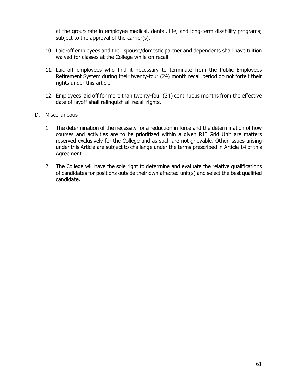at the group rate in employee medical, dental, life, and long-term disability programs; subject to the approval of the carrier(s).

- 10. Laid-off employees and their spouse/domestic partner and dependents shall have tuition waived for classes at the College while on recall.
- 11. Laid-off employees who find it necessary to terminate from the Public Employees Retirement System during their twenty-four (24) month recall period do not forfeit their rights under this article.
- 12. Employees laid off for more than twenty-four (24) continuous months from the effective date of layoff shall relinquish all recall rights.

#### D. Miscellaneous

- 1. The determination of the necessity for a reduction in force and the determination of how courses and activities are to be prioritized within a given RIF Grid Unit are matters reserved exclusively for the College and as such are not grievable. Other issues arising under this Article are subject to challenge under the terms prescribed in Article 14 of this Agreement.
- 2. The College will have the sole right to determine and evaluate the relative qualifications of candidates for positions outside their own affected unit(s) and select the best qualified candidate.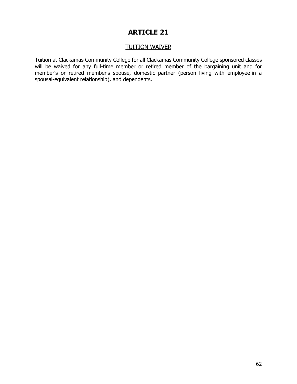# TUITION WAIVER

Tuition at Clackamas Community College for all Clackamas Community College sponsored classes will be waived for any full-time member or retired member of the bargaining unit and for member's or retired member's spouse, domestic partner (person living with employee in a spousal-equivalent relationship), and dependents.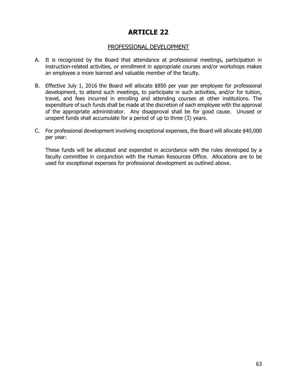### PROFESSIONAL DEVELOPMENT

- A. It is recognized by the Board that attendance at professional meetings, participation in instruction-related activities, or enrollment in appropriate courses and/or workshops makes an employee a more learned and valuable member of the faculty.
- B. Effective July 1, 2016 the Board will allocate \$850 per year per employee for professional development, to attend such meetings, to participate in such activities, and/or for tuition, travel, and fees incurred in enrolling and attending courses at other institutions. The expenditure of such funds shall be made at the discretion of each employee with the approval of the appropriate administrator. Any disapproval shall be for good cause. Unused or unspent funds shall accumulate for a period of up to three (3) years.
- C. For professional development involving exceptional expenses, the Board will allocate \$40,000 per year:

These funds will be allocated and expended in accordance with the rules developed by a faculty committee in conjunction with the Human Resources Office. Allocations are to be used for exceptional expenses for professional development as outlined above.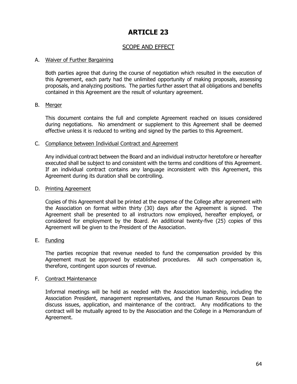# SCOPE AND EFFECT

#### A. Waiver of Further Bargaining

Both parties agree that during the course of negotiation which resulted in the execution of this Agreement, each party had the unlimited opportunity of making proposals, assessing proposals, and analyzing positions. The parties further assert that all obligations and benefits contained in this Agreement are the result of voluntary agreement.

#### B. Merger

This document contains the full and complete Agreement reached on issues considered during negotiations. No amendment or supplement to this Agreement shall be deemed effective unless it is reduced to writing and signed by the parties to this Agreement.

#### C. Compliance between Individual Contract and Agreement

Any individual contract between the Board and an individual instructor heretofore or hereafter executed shall be subject to and consistent with the terms and conditions of this Agreement. If an individual contract contains any language inconsistent with this Agreement, this Agreement during its duration shall be controlling.

#### D. Printing Agreement

Copies of this Agreement shall be printed at the expense of the College after agreement with the Association on format within thirty (30) days after the Agreement is signed. The Agreement shall be presented to all instructors now employed, hereafter employed, or considered for employment by the Board. An additional twenty-five (25) copies of this Agreement will be given to the President of the Association.

#### E. Funding

The parties recognize that revenue needed to fund the compensation provided by this Agreement must be approved by established procedures. All such compensation is, therefore, contingent upon sources of revenue.

#### F. Contract Maintenance

Informal meetings will be held as needed with the Association leadership, including the Association President, management representatives, and the Human Resources Dean to discuss issues, application, and maintenance of the contract. Any modifications to the contract will be mutually agreed to by the Association and the College in a Memorandum of Agreement.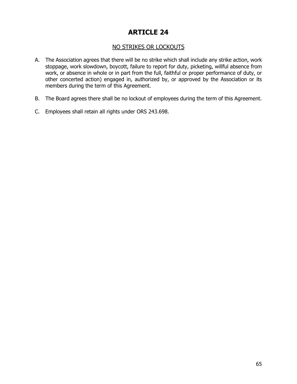# NO STRIKES OR LOCKOUTS

- A. The Association agrees that there will be no strike which shall include any strike action, work stoppage, work slowdown, boycott, failure to report for duty, picketing, willful absence from work, or absence in whole or in part from the full, faithful or proper performance of duty, or other concerted action) engaged in, authorized by, or approved by the Association or its members during the term of this Agreement.
- B. The Board agrees there shall be no lockout of employees during the term of this Agreement.
- C. Employees shall retain all rights under ORS 243.698.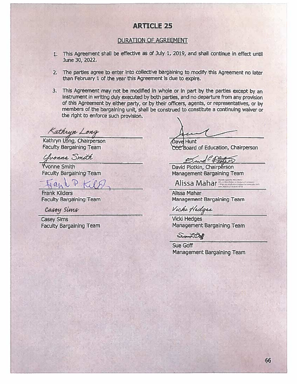#### **DURATION OF AGREEMENT**

- 1. This Agreement shall be effective as of July 1, 2019, and shall continue in effect until June 30, 2022.
- 2. The parties agree to enter into collective bargaining to modify this Agreement no later than February 1 of the year this Agreement is due to expire.
- 3. This Agreement may not be modified in whole or in part by the parties except by an instrument in writing duly executed by both parties, and no departure from any provision of this Agreement by either party, or by their officers, agents, or representatives, or by members of the bargaining unit, shall be construed to constitute a continuing waiver or the right to enforce such provision.

Kathryn Long

Kathryn Long, Chairperson **Faculty Bargaining Team** 

Chonna Smith

Yvonne Smith **Faculty Bargaining Team** 

**Frank Kilders Faculty Bargaining Team** 

Casey Sims

**Casey Sims Faculty Bargaining Team** 

Dave Hunt CEC Board of Education, Chairperson

David flot

David Plotkin, Chairperson **Management Bargaining Team** 

Alissa Mahar

Alissa Mahar Management Bargaining Team

Vicke Hedges

**Vicki Hedges** Management Bargaining Team

Suandale

**Sue Goff** Management Bargaining Team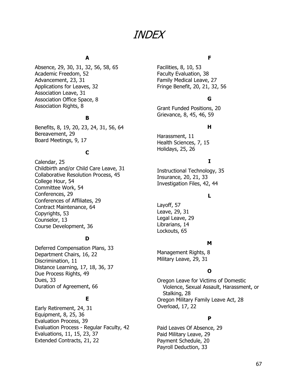# INDEX

#### **A**

Absence, 29, 30, 31, 32, 56, 58, 65 Academic Freedom, 52 Advancement, 23, 31 Applications for Leaves, 32 Association Leave, 31 Association Office Space, 8 Association Rights, 8

#### **B**

Benefits, 8, 19, 20, 23, 24, 31, 56, 64 Bereavement, 29 Board Meetings, 9, 17

#### **C**

Calendar, 25 Childbirth and/or Child Care Leave, 31 Collaborative Resolution Process, 45 College Hour, 54 Committee Work, 54 Conferences, 29 Conferences of Affiliates, 29 Contract Maintenance, 64 Copyrights, 53 Counselor, 13 Course Development, 36

#### **D**

Deferred Compensation Plans, 33 Department Chairs, 16, 22 Discrimination, 11 Distance Learning, 17, 18, 36, 37 Due Process Rights, 49 Dues, 33 Duration of Agreement, 66

### **E**

Early Retirement, 24, 31 Equipment, 8, 25, 36 Evaluation Process, 39 Evaluation Process - Regular Faculty, 42 Evaluations, 11, 15, 23, 37 Extended Contracts, 21, 22

#### **F**

Facilities, 8, 10, 53 Faculty Evaluation, 38 Family Medical Leave, 27 Fringe Benefit, 20, 21, 32, 56

### **G**

Grant Funded Positions, 20 Grievance, 8, 45, 46, 59

#### **H**

Harassment, 11 Health Sciences, 7, 15 Holidays, 25, 26

### **I**

Instructional Technology, 35 Insurance, 20, 21, 33 Investigation Files, 42, 44

#### **L**

Layoff, 57 Leave, 29, 31 Legal Leave, 29 Librarians, 14 Lockouts, 65

#### **M**

Management Rights, 8 Military Leave, 29, 31

#### **O**

Oregon Leave for Victims of Domestic Violence, Sexual Assault, Harassment, or Stalking, 28 Oregon Military Family Leave Act, 28 Overload, 17, 22

#### **P**

Paid Leaves Of Absence, 29 Paid Military Leave, 29 Payment Schedule, 20 Payroll Deduction, 33